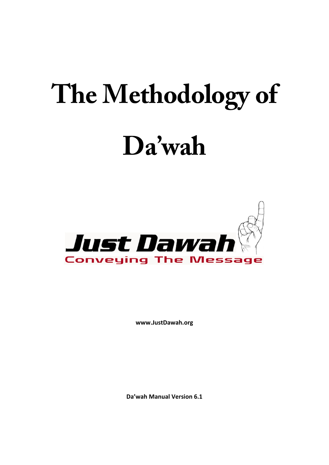# **The Methodology of Da'wah**



**www.JustDawah.org** 

**Da'wah Manual Version 6.1**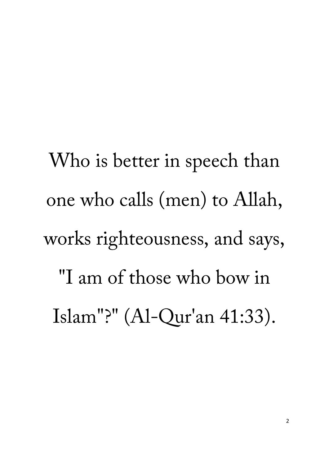Who is better in speech than one who calls (men) to Allah, works righteousness, and says, "I am of those who bow in Islam"?" (Al-Qur'an 41:33).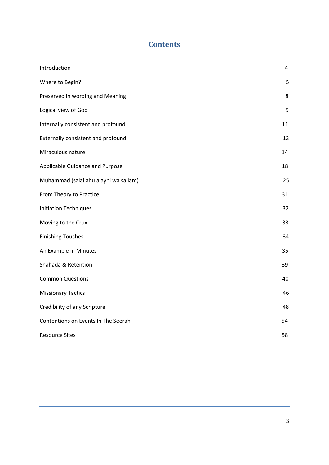# **Contents**

| Introduction                          | 4  |
|---------------------------------------|----|
| Where to Begin?                       | 5  |
| Preserved in wording and Meaning      | 8  |
| Logical view of God                   | 9  |
| Internally consistent and profound    | 11 |
| Externally consistent and profound    | 13 |
| Miraculous nature                     | 14 |
| Applicable Guidance and Purpose       | 18 |
| Muhammad (salallahu alayhi wa sallam) | 25 |
| From Theory to Practice               | 31 |
| <b>Initiation Techniques</b>          | 32 |
| Moving to the Crux                    | 33 |
| <b>Finishing Touches</b>              | 34 |
| An Example in Minutes                 | 35 |
| Shahada & Retention                   | 39 |
| <b>Common Questions</b>               | 40 |
| <b>Missionary Tactics</b>             | 46 |
| Credibility of any Scripture          | 48 |
| Contentions on Events In The Seerah   | 54 |
| <b>Resource Sites</b>                 | 58 |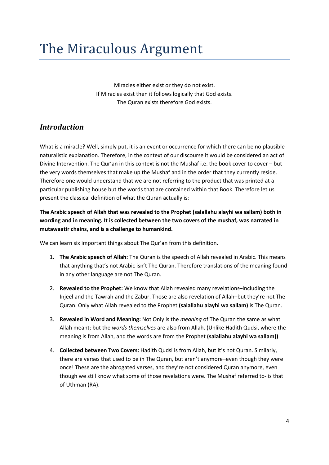# The Miraculous Argument

Miracles either exist or they do not exist. If Miracles exist then it follows logically that God exists. The Quran exists therefore God exists.

# <span id="page-3-0"></span>*Introduction*

What is a miracle? Well, simply put, it is an event or occurrence for which there can be no plausible naturalistic explanation. Therefore, in the context of our discourse it would be considered an act of Divine Intervention. The Qur'an in this context is not the Mushaf i.e. the book cover to cover – but the very words themselves that make up the Mushaf and in the order that they currently reside. Therefore one would understand that we are not referring to the product that was printed at a particular publishing house but the words that are contained within that Book. Therefore let us present the classical definition of what the Quran actually is:

**The Arabic speech of Allah that was revealed to the Prophet (salallahu alayhi wa sallam) both in wording and in meaning. It is collected between the two covers of the mushaf, was narrated in mutawaatir chains, and is a challenge to humankind.**

We can learn six important things about The Qur'an from this definition.

- 1. **The Arabic speech of Allah:** The Quran is the speech of Allah revealed in Arabic. This means that anything that's not Arabic isn't The Quran. Therefore translations of the meaning found in any other language are not The Quran.
- 2. **Revealed to the Prophet:** We know that Allah revealed many revelations–including the Injeel and the Tawrah and the Zabur. Those are also revelation of Allah–but they're not The Quran. Only what Allah revealed to the Prophet **(salallahu alayhi wa sallam)** is The Quran.
- 3. **Revealed in Word and Meaning:** Not Only is the *meaning* of The Quran the same as what Allah meant; but the *words themselves* are also from Allah. (Unlike Hadith Qudsi, where the meaning is from Allah, and the words are from the Prophet **(salallahu alayhi wa sallam))**
- 4. **Collected between Two Covers:** Hadith Qudsi is from Allah, but it's not Quran. Similarly, there are verses that used to be in The Quran, but aren't anymore–even though they were once! These are the abrogated verses, and they're not considered Quran anymore, even though we still know what some of those revelations were. The Mushaf referred to- is that of Uthman (RA).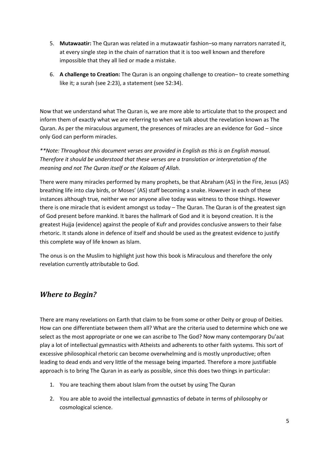- 5. **Mutawaatir:** The Quran was related in a mutawaatir fashion–so many narrators narrated it, at every single step in the chain of narration that it is too well known and therefore impossible that they all lied or made a mistake.
- 6. **A challenge to Creation:** The Quran is an ongoing challenge to creation– to create something like it; a surah (see 2:23), a statement (see 52:34).

Now that we understand what The Quran is, we are more able to articulate that to the prospect and inform them of exactly what we are referring to when we talk about the revelation known as The Quran. As per the miraculous argument, the presences of miracles are an evidence for God – since only God can perform miracles.

*\*\*Note: Throughout this document verses are provided in English as this is an English manual. Therefore it should be understood that these verses are a translation or interpretation of the meaning and not The Quran itself or the Kalaam of Allah.*

There were many miracles performed by many prophets, be that Abraham (AS) in the Fire, Jesus (AS) breathing life into clay birds, or Moses' (AS) staff becoming a snake. However in each of these instances although true, neither we nor anyone alive today was witness to those things. However there is one miracle that is evident amongst us today – The Quran. The Quran is of the greatest sign of God present before mankind. It bares the hallmark of God and it is beyond creation. It is the greatest Hujja (evidence) against the people of Kufr and provides conclusive answers to their false rhetoric. It stands alone in defence of itself and should be used as the greatest evidence to justify this complete way of life known as Islam.

The onus is on the Muslim to highlight just how this book is Miraculous and therefore the only revelation currently attributable to God.

# <span id="page-4-0"></span>*Where to Begin?*

There are many revelations on Earth that claim to be from some or other Deity or group of Deities. How can one differentiate between them all? What are the criteria used to determine which one we select as the most appropriate or one we can ascribe to The God? Now many contemporary Du'aat play a lot of intellectual gymnastics with Atheists and adherents to other faith systems. This sort of excessive philosophical rhetoric can become overwhelming and is mostly unproductive; often leading to dead ends and very little of the message being imparted. Therefore a more justifiable approach is to bring The Quran in as early as possible, since this does two things in particular:

- 1. You are teaching them about Islam from the outset by using The Quran
- 2. You are able to avoid the intellectual gymnastics of debate in terms of philosophy or cosmological science.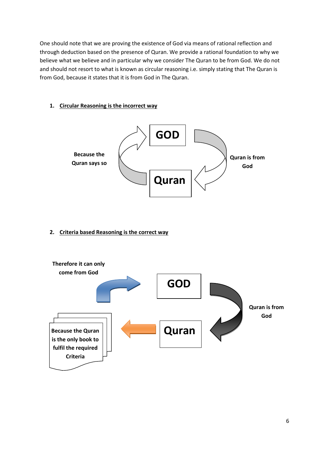One should note that we are proving the existence of God via means of rational reflection and through deduction based on the presence of Quran. We provide a rational foundation to why we believe what we believe and in particular why we consider The Quran to be from God. We do not and should not resort to what is known as circular reasoning i.e. simply stating that The Quran is from God, because it states that it is from God in The Quran.

#### **1. Circular Reasoning is the incorrect way**



#### **2. Criteria based Reasoning is the correct way**

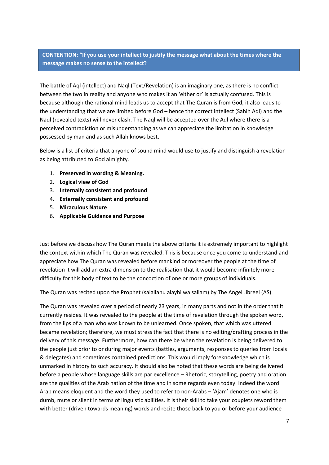#### **CONTENTION: "If you use your intellect to justify the message what about the times where the message makes no sense to the intellect?**

The battle of Aql (intellect) and Naql (Text/Revelation) is an imaginary one, as there is no conflict between the two in reality and anyone who makes it an 'either or' is actually confused. This is because although the rational mind leads us to accept that The Quran is from God, it also leads to the understanding that we are limited before God – hence the correct intellect (Sahih Aql) and the Naql (revealed texts) will never clash. The Naql will be accepted over the Aql where there is a perceived contradiction or misunderstanding as we can appreciate the limitation in knowledge possessed by man and as such Allah knows best.

Below is a list of criteria that anyone of sound mind would use to justify and distinguish a revelation as being attributed to God almighty.

- 1. **Preserved in wording & Meaning.**
- 2. **Logical view of God**
- 3. **Internally consistent and profound**
- 4. **Externally consistent and profound**
- 5. **Miraculous Nature**
- 6. **Applicable Guidance and Purpose**

Just before we discuss how The Quran meets the above criteria it is extremely important to highlight the context within which The Quran was revealed. This is because once you come to understand and appreciate how The Quran was revealed before mankind or moreover the people at the time of revelation it will add an extra dimension to the realisation that it would become infinitely more difficulty for this body of text to be the concoction of one or more groups of individuals.

The Quran was recited upon the Prophet (salallahu alayhi wa sallam) by The Angel Jibreel (AS).

The Quran was revealed over a period of nearly 23 years, in many parts and not in the order that it currently resides. It was revealed to the people at the time of revelation through the spoken word, from the lips of a man who was known to be unlearned. Once spoken, that which was uttered became revelation; therefore, we must stress the fact that there is no editing/drafting process in the delivery of this message. Furthermore, how can there be when the revelation is being delivered to the people just prior to or during major events (battles, arguments, responses to queries from locals & delegates) and sometimes contained predictions. This would imply foreknowledge which is unmarked in history to such accuracy. It should also be noted that these words are being delivered before a people whose language skills are par excellence – Rhetoric, storytelling, poetry and oration are the qualities of the Arab nation of the time and in some regards even today. Indeed the word Arab means eloquent and the word they used to refer to non-Arabs – 'Ajam' denotes one who is dumb, mute or silent in terms of linguistic abilities. It is their skill to take your couplets reword them with better (driven towards meaning) words and recite those back to you or before your audience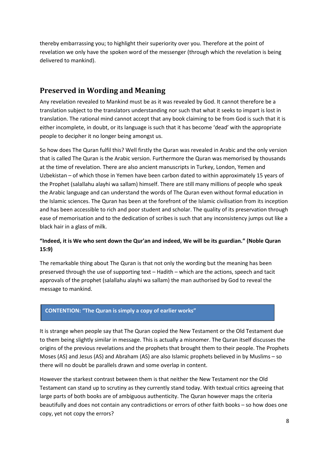thereby embarrassing you; to highlight their superiority over you. Therefore at the point of revelation we only have the spoken word of the messenger (through which the revelation is being delivered to mankind).

# <span id="page-7-0"></span>**Preserved in Wording and Meaning**

Any revelation revealed to Mankind must be as it was revealed by God. It cannot therefore be a translation subject to the translators understanding nor such that what it seeks to impart is lost in translation. The rational mind cannot accept that any book claiming to be from God is such that it is either incomplete, in doubt, or its language is such that it has become 'dead' with the appropriate people to decipher it no longer being amongst us.

So how does The Quran fulfil this? Well firstly the Quran was revealed in Arabic and the only version that is called The Quran is the Arabic version. Furthermore the Quran was memorised by thousands at the time of revelation. There are also ancient manuscripts in Turkey, London, Yemen and Uzbekistan – of which those in Yemen have been carbon dated to within approximately 15 years of the Prophet (salallahu alayhi wa sallam) himself. There are still many millions of people who speak the Arabic language and can understand the words of The Quran even without formal education in the Islamic sciences. The Quran has been at the forefront of the Islamic civilisation from its inception and has been accessible to rich and poor student and scholar. The quality of its preservation through ease of memorisation and to the dedication of scribes is such that any inconsistency jumps out like a black hair in a glass of milk.

#### **"Indeed, it is We who sent down the Qur'an and indeed, We will be its guardian." (Noble Quran 15:9)**

The remarkable thing about The Quran is that not only the wording but the meaning has been preserved through the use of supporting text – Hadith – which are the actions, speech and tacit approvals of the prophet (salallahu alayhi wa sallam) the man authorised by God to reveal the message to mankind.

#### **CONTENTION: "The Quran is simply a copy of earlier works"**

It is strange when people say that The Quran copied the New Testament or the Old Testament due to them being slightly similar in message. This is actually a misnomer. The Quran itself discusses the origins of the previous revelations and the prophets that brought them to their people. The Prophets Moses (AS) and Jesus (AS) and Abraham (AS) are also Islamic prophets believed in by Muslims – so there will no doubt be parallels drawn and some overlap in content.

However the starkest contrast between them is that neither the New Testament nor the Old Testament can stand up to scrutiny as they currently stand today. With textual critics agreeing that large parts of both books are of ambiguous authenticity. The Quran however maps the criteria beautifully and does not contain any contradictions or errors of other faith books – so how does one copy, yet not copy the errors?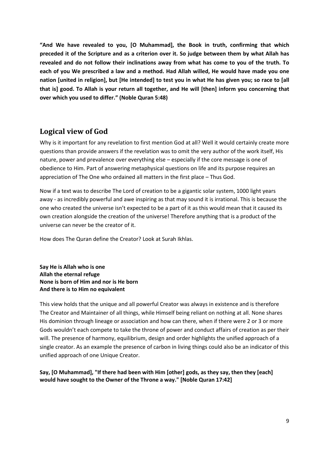**"And We have revealed to you, [O Muhammad], the Book in truth, confirming that which preceded it of the Scripture and as a criterion over it. So judge between them by what Allah has revealed and do not follow their inclinations away from what has come to you of the truth. To each of you We prescribed a law and a method. Had Allah willed, He would have made you one nation [united in religion], but [He intended] to test you in what He has given you; so race to [all that is] good. To Allah is your return all together, and He will [then] inform you concerning that over which you used to differ." (Noble Quran 5:48)**

# <span id="page-8-0"></span>**Logical view of God**

Why is it important for any revelation to first mention God at all? Well it would certainly create more questions than provide answers if the revelation was to omit the very author of the work itself, His nature, power and prevalence over everything else – especially if the core message is one of obedience to Him. Part of answering metaphysical questions on life and its purpose requires an appreciation of The One who ordained all matters in the first place – Thus God.

Now if a text was to describe The Lord of creation to be a gigantic solar system, 1000 light years away - as incredibly powerful and awe inspiring as that may sound it is irrational. This is because the one who created the universe isn't expected to be a part of it as this would mean that it caused its own creation alongside the creation of the universe! Therefore anything that is a product of the universe can never be the creator of it.

How does The Quran define the Creator? Look at Surah Ikhlas.

**Say He is Allah who is one Allah the eternal refuge None is born of Him and nor is He born And there is to Him no equivalent**

This view holds that the unique and all powerful Creator was always in existence and is therefore The Creator and Maintainer of all things, while Himself being reliant on nothing at all. None shares His dominion through lineage or association and how can there, when if there were 2 or 3 or more Gods wouldn't each compete to take the throne of power and conduct affairs of creation as per their will. The presence of harmony, equilibrium, design and order highlights the unified approach of a single creator. As an example the presence of carbon in living things could also be an indicator of this unified approach of one Unique Creator.

**Say, [O Muhammad], "If there had been with Him [other] gods, as they say, then they [each] would have sought to the Owner of the Throne a way." [Noble Quran 17:42]**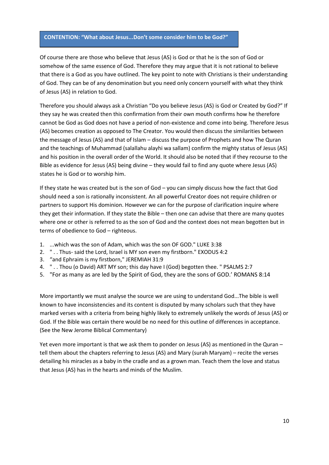#### **CONTENTION: "What about Jesus...Don't some consider him to be God?"**

Of course there are those who believe that Jesus (AS) is God or that he is the son of God or somehow of the same essence of God. Therefore they may argue that it is not rational to believe that there is a God as you have outlined. The key point to note with Christians is their understanding of God. They can be of any denomination but you need only concern yourself with what they think of Jesus (AS) in relation to God.

Therefore you should always ask a Christian "Do you believe Jesus (AS) is God or Created by God?" If they say he was created then this confirmation from their own mouth confirms how he therefore cannot be God as God does not have a period of non-existence and come into being. Therefore Jesus (AS) becomes creation as opposed to The Creator. You would then discuss the similarities between the message of Jesus (AS) and that of Islam – discuss the purpose of Prophets and how The Quran and the teachings of Muhammad (salallahu alayhi wa sallam) confirm the mighty status of Jesus (AS) and his position in the overall order of the World. It should also be noted that if they recourse to the Bible as evidence for Jesus (AS) being divine – they would fail to find any quote where Jesus (AS) states he is God or to worship him.

If they state he was created but is the son of God – you can simply discuss how the fact that God should need a son is rationally inconsistent. An all powerful Creator does not require children or partners to support His dominion. However we can for the purpose of clarification inquire where they get their information. If they state the Bible – then one can advise that there are many quotes where one or other is referred to as the son of God and the context does not mean begotten but in terms of obedience to God – righteous.

- 1. ...which was the son of Adam, which was the son OF GOD." LUKE 3:38
- 2. " . . Thus- said the Lord, Israel is MY son even my firstborn." EXODUS 4:2
- 3. "and Ephraim is my firstborn," JEREMIAH 31:9
- 4. " . . Thou (o David) ART MY son; this day have I (God) begotten thee. " PSALMS 2:7
- 5. "For as many as are led by the Spirit of God, they are the sons of GOD.' ROMANS 8:14

More importantly we must analyse the source we are using to understand God...The bible is well known to have inconsistencies and its content is disputed by many scholars such that they have marked verses with a criteria from being highly likely to extremely unlikely the words of Jesus (AS) or God. If the Bible was certain there would be no need for this outline of differences in acceptance. (See the New Jerome Biblical Commentary)

Yet even more important is that we ask them to ponder on Jesus (AS) as mentioned in the Quran – tell them about the chapters referring to Jesus (AS) and Mary (surah Maryam) – recite the verses detailing his miracles as a baby in the cradle and as a grown man. Teach them the love and status that Jesus (AS) has in the hearts and minds of the Muslim.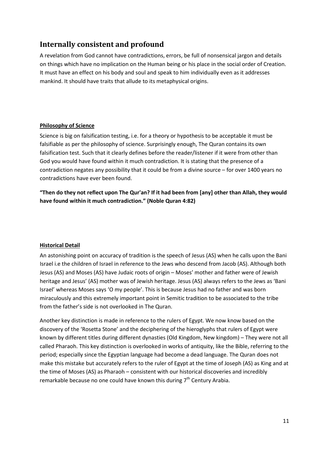# <span id="page-10-0"></span>**Internally consistent and profound**

A revelation from God cannot have contradictions, errors, be full of nonsensical jargon and details on things which have no implication on the Human being or his place in the social order of Creation. It must have an effect on his body and soul and speak to him individually even as it addresses mankind. It should have traits that allude to its metaphysical origins.

#### **Philosophy of Science**

Science is big on falsification testing, i.e. for a theory or hypothesis to be acceptable it must be falsifiable as per the philosophy of science. Surprisingly enough, The Quran contains its own falsification test. Such that it clearly defines before the reader/listener if it were from other than God you would have found within it much contradiction. It is stating that the presence of a contradiction negates any possibility that it could be from a divine source – for over 1400 years no contradictions have ever been found.

**"Then do they not reflect upon The Qur'an? If it had been from [any] other than Allah, they would have found within it much contradiction." (Noble Quran 4:82)**

#### **Historical Detail**

An astonishing point on accuracy of tradition is the speech of Jesus (AS) when he calls upon the Bani Israel i.e the children of Israel in reference to the Jews who descend from Jacob (AS). Although both Jesus (AS) and Moses (AS) have Judaic roots of origin – Moses' mother and father were of Jewish heritage and Jesus' (AS) mother was of Jewish heritage. Jesus (AS) always refers to the Jews as 'Bani Israel' whereas Moses says 'O my people'. This is because Jesus had no father and was born miraculously and this extremely important point in Semitic tradition to be associated to the tribe from the father's side is not overlooked in The Quran.

Another key distinction is made in reference to the rulers of Egypt. We now know based on the discovery of the 'Rosetta Stone' and the deciphering of the hieroglyphs that rulers of Egypt were known by different titles during different dynasties (Old Kingdom, New kingdom) – They were not all called Pharaoh. This key distinction is overlooked in works of antiquity, like the Bible, referring to the period; especially since the Egyptian language had become a dead language. The Quran does not make this mistake but accurately refers to the ruler of Egypt at the time of Joseph (AS) as King and at the time of Moses (AS) as Pharaoh – consistent with our historical discoveries and incredibly remarkable because no one could have known this during  $7<sup>th</sup>$  Century Arabia.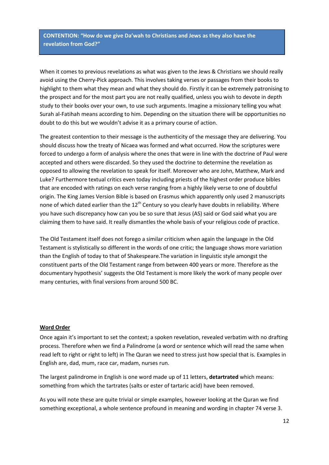**CONTENTION: "How do we give Da'wah to Christians and Jews as they also have the revelation from God?"**

When it comes to previous revelations as what was given to the Jews & Christians we should really avoid using the Cherry-Pick approach. This involves taking verses or passages from their books to highlight to them what they mean and what they should do. Firstly it can be extremely patronising to the prospect and for the most part you are not really qualified, unless you wish to devote in depth study to their books over your own, to use such arguments. Imagine a missionary telling you what Surah al-Fatihah means according to him. Depending on the situation there will be opportunities no doubt to do this but we wouldn't advise it as a primary course of action.

The greatest contention to their message is the authenticity of the message they are delivering. You should discuss how the treaty of Nicaea was formed and what occurred. How the scriptures were forced to undergo a form of analysis where the ones that were in line with the doctrine of Paul were accepted and others were discarded. So they used the doctrine to determine the revelation as opposed to allowing the revelation to speak for itself. Moreover who are John, Matthew, Mark and Luke? Furthermore textual critics even today including priests of the highest order produce bibles that are encoded with ratings on each verse ranging from a highly likely verse to one of doubtful origin. The King James Version Bible is based on Erasmus which apparently only used 2 manuscripts none of which dated earlier than the  $12<sup>th</sup>$  Century so you clearly have doubts in reliability. Where you have such discrepancy how can you be so sure that Jesus (AS) said or God said what you are claiming them to have said. It really dismantles the whole basis of your religious code of practice.

The Old Testament itself does not forego a similar criticism when again the language in the Old Testament is stylistically so different in the words of one critic; the language shows more variation than the English of today to that of Shakespeare.The variation in linguistic style amongst the constituent parts of the Old Testament range from between 400 years or more. Therefore as the documentary hypothesis' suggests the Old Testament is more likely the work of many people over many centuries, with final versions from around 500 BC.

#### **Word Order**

Once again it's important to set the context; a spoken revelation, revealed verbatim with no drafting process. Therefore when we find a Palindrome (a word or sentence which will read the same when read left to right or right to left) in The Quran we need to stress just how special that is. Examples in English are, dad, mum, race car, madam, nurses run.

The largest palindrome in English is one word made up of 11 letters, **detartrated** which means: something from which the tartrates (salts or ester of tartaric acid) have been removed.

As you will note these are quite trivial or simple examples, however looking at the Quran we find something exceptional, a whole sentence profound in meaning and wording in chapter 74 verse 3.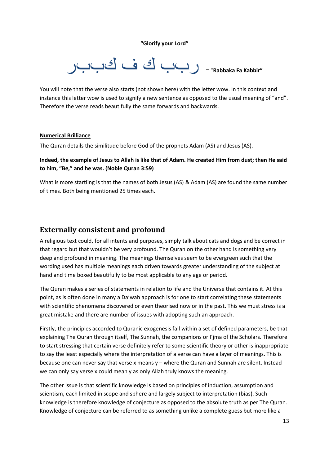**"Glorify your Lord"**

**"Kabbir Fa Rabbaka** = "ربب ك ف كببر

You will note that the verse also starts (not shown here) with the letter wow. In this context and instance this letter wow is used to signify a new sentence as opposed to the usual meaning of "and". Therefore the verse reads beautifully the same forwards and backwards.

#### **Numerical Brilliance**

The Quran details the similitude before God of the prophets Adam (AS) and Jesus (AS).

#### **Indeed, the example of Jesus to Allah is like that of Adam. He created Him from dust; then He said to him, "Be," and he was. (Noble Quran 3:59)**

What is more startling is that the names of both Jesus (AS) & Adam (AS) are found the same number of times. Both being mentioned 25 times each.

## <span id="page-12-0"></span>**Externally consistent and profound**

A religious text could, for all intents and purposes, simply talk about cats and dogs and be correct in that regard but that wouldn't be very profound. The Quran on the other hand is something very deep and profound in meaning. The meanings themselves seem to be evergreen such that the wording used has multiple meanings each driven towards greater understanding of the subject at hand and time boxed beautifully to be most applicable to any age or period.

The Quran makes a series of statements in relation to life and the Universe that contains it. At this point, as is often done in many a Da'wah approach is for one to start correlating these statements with scientific phenomena discovered or even theorised now or in the past. This we must stress is a great mistake and there are number of issues with adopting such an approach.

Firstly, the principles accorded to Quranic exogenesis fall within a set of defined parameters, be that explaining The Quran through itself, The Sunnah, the companions or I'jma of the Scholars. Therefore to start stressing that certain verse definitely refer to some scientific theory or other is inappropriate to say the least especially where the interpretation of a verse can have a layer of meanings. This is because one can never say that verse x means y – where the Quran and Sunnah are silent. Instead we can only say verse x could mean y as only Allah truly knows the meaning.

The other issue is that scientific knowledge is based on principles of induction, assumption and scientism, each limited in scope and sphere and largely subject to interpretation (bias). Such knowledge is therefore knowledge of conjecture as opposed to the absolute truth as per The Quran. Knowledge of conjecture can be referred to as something unlike a complete guess but more like a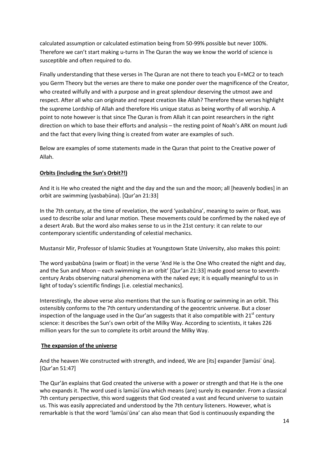calculated assumption or calculated estimation being from 50-99% possible but never 100%. Therefore we can't start making u-turns in The Quran the way we know the world of science is susceptible and often required to do.

Finally understanding that these verses in The Quran are not there to teach you E=MC2 or to teach you Germ Theory but the verses are there to make one ponder over the magnificence of the Creator, who created wilfully and with a purpose and in great splendour deserving the utmost awe and respect. After all who can originate and repeat creation like Allah? Therefore these verses highlight the supreme Lordship of Allah and therefore His unique status as being worthy of all worship. A point to note however is that since The Quran is from Allah it can point researchers in the right direction on which to base their efforts and analysis – the resting point of Noah's ARK on mount Judi and the fact that every living thing is created from water are examples of such.

Below are examples of some statements made in the Quran that point to the Creative power of Allah.

#### <span id="page-13-0"></span>**Orbits (including the Sun's Orbit?!)**

And it is He who created the night and the day and the sun and the moon; all [heavenly bodies] in an orbit are swimming (yasbaḥūna). [Qur'an 21:33]

In the 7th century, at the time of revelation, the word 'yasbaḥūna', meaning to swim or float, was used to describe solar and lunar motion. These movements could be confirmed by the naked eye of a desert Arab. But the word also makes sense to us in the 21st century: it can relate to our contemporary scientific understanding of celestial mechanics.

Mustansir Mir, Professor of Islamic Studies at Youngstown State University, also makes this point:

The word yasbahūna (swim or float) in the verse 'And He is the One Who created the night and day, and the Sun and Moon – each swimming in an orbit' [Qur'an 21:33] made good sense to seventhcentury Arabs observing natural phenomena with the naked eye; it is equally meaningful to us in light of today's scientific findings [i.e. celestial mechanics].

Interestingly, the above verse also mentions that the sun is floating or swimming in an orbit. This ostensibly conforms to the 7th century understanding of the geocentric universe. But a closer inspection of the language used in the Qur'an suggests that it also compatible with  $21<sup>st</sup>$  century science: it describes the Sun's own orbit of the Milky Way. According to scientists, it takes 226 million years for the sun to complete its orbit around the Milky Way.

#### **The expansion of the universe**

And the heaven We constructed with strength, and indeed, We are [its] expander [lamūsi' ūna]. [Qur'an 51:47]

The Qur'ān explains that God created the universe with a power or strength and that He is the one who expands it. The word used is lamūsiʿūna which means (are) surely its expander. From a classical 7th century perspective, this word suggests that God created a vast and fecund universe to sustain us. This was easily appreciated and understood by the 7th century listeners. However, what is remarkable is that the word 'lamūsiʿūna' can also mean that God is continuously expanding the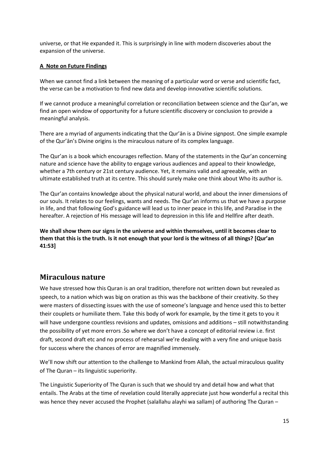universe, or that He expanded it. This is surprisingly in line with modern discoveries about the expansion of the universe.

#### **A Note on Future Findings**

When we cannot find a link between the meaning of a particular word or verse and scientific fact, the verse can be a motivation to find new data and develop innovative scientific solutions.

If we cannot produce a meaningful correlation or reconciliation between science and the Qur'an, we find an open window of opportunity for a future scientific discovery or conclusion to provide a meaningful analysis.

There are a myriad of arguments indicating that the Qur'ān is a Divine signpost. One simple example of the Qur'ān's Divine origins is the miraculous nature of its complex language.

The Qur'an is a book which encourages reflection. Many of the statements in the Qur'an concerning nature and science have the ability to engage various audiences and appeal to their knowledge, whether a 7th century or 21st century audience. Yet, it remains valid and agreeable, with an ultimate established truth at its centre. This should surely make one think about Who its author is.

The Qur'an contains knowledge about the physical natural world, and about the inner dimensions of our souls. It relates to our feelings, wants and needs. The Qur'an informs us that we have a purpose in life, and that following God's guidance will lead us to inner peace in this life, and Paradise in the hereafter. A rejection of His message will lead to depression in this life and Hellfire after death.

**We shall show them our signs in the universe and within themselves, until it becomes clear to them that this is the truth. Is it not enough that your lord is the witness of all things? [Qur'an 41:53]**

# **Miraculous nature**

We have stressed how this Quran is an oral tradition, therefore not written down but revealed as speech, to a nation which was big on oration as this was the backbone of their creativity. So they were masters of dissecting issues with the use of someone's language and hence used this to better their couplets or humiliate them. Take this body of work for example, by the time it gets to you it will have undergone countless revisions and updates, omissions and additions – still notwithstanding the possibility of yet more errors .So where we don't have a concept of editorial review i.e. first draft, second draft etc and no process of rehearsal we're dealing with a very fine and unique basis for success where the chances of error are magnified immensely.

We'll now shift our attention to the challenge to Mankind from Allah, the actual miraculous quality of The Quran – its linguistic superiority.

The Linguistic Superiority of The Quran is such that we should try and detail how and what that entails. The Arabs at the time of revelation could literally appreciate just how wonderful a recital this was hence they never accused the Prophet (salallahu alayhi wa sallam) of authoring The Quran –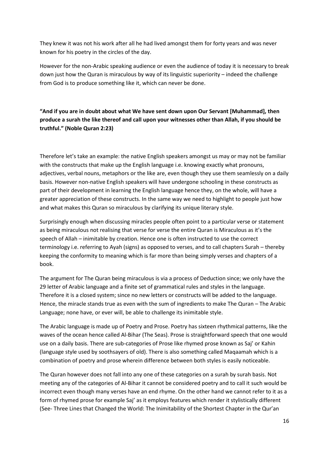They knew it was not his work after all he had lived amongst them for forty years and was never known for his poetry in the circles of the day.

However for the non-Arabic speaking audience or even the audience of today it is necessary to break down just how the Quran is miraculous by way of its linguistic superiority – indeed the challenge from God is to produce something like it, which can never be done.

**"And if you are in doubt about what We have sent down upon Our Servant [Muhammad], then produce a surah the like thereof and call upon your witnesses other than Allah, if you should be truthful." (Noble Quran 2:23)**

Therefore let's take an example: the native English speakers amongst us may or may not be familiar with the constructs that make up the English language i.e. knowing exactly what pronouns, adjectives, verbal nouns, metaphors or the like are, even though they use them seamlessly on a daily basis. However non-native English speakers will have undergone schooling in these constructs as part of their development in learning the English language hence they, on the whole, will have a greater appreciation of these constructs. In the same way we need to highlight to people just how and what makes this Quran so miraculous by clarifying its unique literary style.

Surprisingly enough when discussing miracles people often point to a particular verse or statement as being miraculous not realising that verse for verse the entire Quran is Miraculous as it's the speech of Allah – inimitable by creation. Hence one is often instructed to use the correct terminology i.e. referring to Ayah (signs) as opposed to verses, and to call chapters Surah – thereby keeping the conformity to meaning which is far more than being simply verses and chapters of a book.

The argument for The Quran being miraculous is via a process of Deduction since; we only have the 29 letter of Arabic language and a finite set of grammatical rules and styles in the language. Therefore it is a closed system; since no new letters or constructs will be added to the language. Hence, the miracle stands true as even with the sum of ingredients to make The Quran – The Arabic Language; none have, or ever will, be able to challenge its inimitable style.

The Arabic language is made up of Poetry and Prose. Poetry has sixteen rhythmical patterns, like the waves of the ocean hence called Al-Bihar (The Seas). Prose is straightforward speech that one would use on a daily basis. There are sub-categories of Prose like rhymed prose known as Saj' or Kahin (language style used by soothsayers of old). There is also something called Maqaamah which is a combination of poetry and prose wherein difference between both styles is easily noticeable.

The Quran however does not fall into any one of these categories on a surah by surah basis. Not meeting any of the categories of Al-Bihar it cannot be considered poetry and to call it such would be incorrect even though many verses have an end rhyme. On the other hand we cannot refer to it as a form of rhymed prose for example Saj' as it employs features which render it stylistically different (See- Three Lines that Changed the World: The Inimitability of the Shortest Chapter in the Qur'an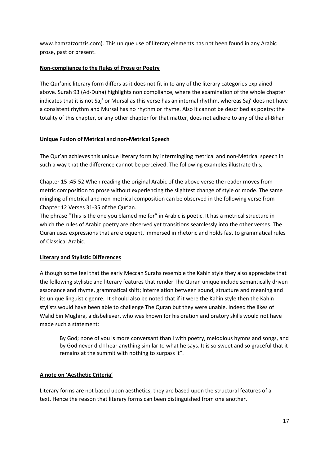www.hamzatzortzis.com). This unique use of literary elements has not been found in any Arabic prose, past or present.

#### **Non-compliance to the Rules of Prose or Poetry**

The Qur'anic literary form differs as it does not fit in to any of the literary categories explained above. Surah 93 (Ad-Duha) highlights non compliance, where the examination of the whole chapter indicates that it is not Saj' or Mursal as this verse has an internal rhythm, whereas Saj' does not have a consistent rhythm and Mursal has no rhythm or rhyme. Also it cannot be described as poetry; the totality of this chapter, or any other chapter for that matter, does not adhere to any of the al-Bihar

#### **Unique Fusion of Metrical and non-Metrical Speech**

The Qur'an achieves this unique literary form by intermingling metrical and non-Metrical speech in such a way that the difference cannot be perceived. The following examples illustrate this,

Chapter 15 :45-52 When reading the original Arabic of the above verse the reader moves from metric composition to prose without experiencing the slightest change of style or mode. The same mingling of metrical and non-metrical composition can be observed in the following verse from Chapter 12 Verses 31-35 of the Qur'an.

The phrase "This is the one you blamed me for" in Arabic is poetic. It has a metrical structure in which the rules of Arabic poetry are observed yet transitions seamlessly into the other verses. The Quran uses expressions that are eloquent, immersed in rhetoric and holds fast to grammatical rules of Classical Arabic.

#### **Literary and Stylistic Differences**

Although some feel that the early Meccan Surahs resemble the Kahin style they also appreciate that the following stylistic and literary features that render The Quran unique include semantically driven assonance and rhyme, grammatical shift; interrelation between sound, structure and meaning and its unique linguistic genre. It should also be noted that if it were the Kahin style then the Kahin stylists would have been able to challenge The Quran but they were unable. Indeed the likes of Walid bin Mughira, a disbeliever, who was known for his oration and oratory skills would not have made such a statement:

By God; none of you is more conversant than I with poetry, melodious hymns and songs, and by God never did I hear anything similar to what he says. It is so sweet and so graceful that it remains at the summit with nothing to surpass it".

#### **A note on 'Aesthetic Criteria'**

Literary forms are not based upon aesthetics, they are based upon the structural features of a text. Hence the reason that literary forms can been distinguished from one another.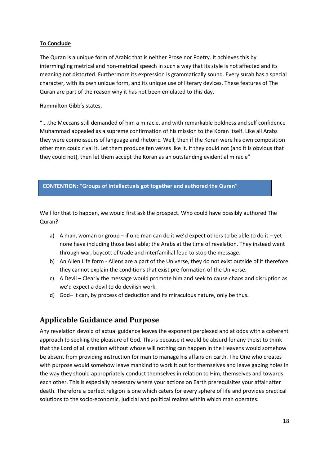#### **To Conclude**

The Quran is a unique form of Arabic that is neither Prose nor Poetry. It achieves this by intermingling metrical and non-metrical speech in such a way that its style is not affected and its meaning not distorted. Furthermore its expression is grammatically sound. Every surah has a special character, with its own unique form, and its unique use of literary devices. These features of The Quran are part of the reason why it has not been emulated to this day.

Hammilton Gibb's states,

".…the Meccans still demanded of him a miracle, and with remarkable boldness and self confidence Muhammad appealed as a supreme confirmation of his mission to the Koran itself. Like all Arabs they were connoisseurs of language and rhetoric. Well, then if the Koran were his own composition other men could rival it. Let them produce ten verses like it. If they could not (and it is obvious that they could not), then let them accept the Koran as an outstanding evidential miracle"

#### **CONTENTION: "Groups of Intellectuals got together and authored the Quran"**

Well for that to happen, we would first ask the prospect. Who could have possibly authored The Quran?

- a) A man, woman or group if one man can do it we'd expect others to be able to do it yet none have including those best able; the Arabs at the time of revelation. They instead went through war, boycott of trade and interfamilial feud to stop the message.
- b) An Alien Life form Aliens are a part of the Universe, they do not exist outside of it therefore they cannot explain the conditions that exist pre-formation of the Universe.
- c) A Devil Clearly the message would promote him and seek to cause chaos and disruption as we'd expect a devil to do devilish work.
- d) God– it can, by process of deduction and its miraculous nature, only be thus.

# <span id="page-17-0"></span>**Applicable Guidance and Purpose**

Any revelation devoid of actual guidance leaves the exponent perplexed and at odds with a coherent approach to seeking the pleasure of God. This is because it would be absurd for any theist to think that the Lord of all creation without whose will nothing can happen in the Heavens would somehow be absent from providing instruction for man to manage his affairs on Earth. The One who creates with purpose would somehow leave mankind to work it out for themselves and leave gaping holes in the way they should appropriately conduct themselves in relation to Him, themselves and towards each other. This is especially necessary where your actions on Earth prerequisites your affair after death. Therefore a perfect religion is one which caters for every sphere of life and provides practical solutions to the socio-economic, judicial and political realms within which man operates.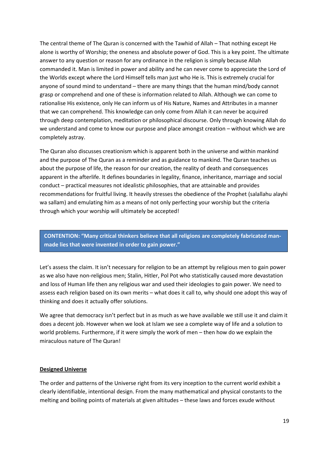The central theme of The Quran is concerned with the Tawhid of Allah – That nothing except He alone is worthy of Worship; the oneness and absolute power of God. This is a key point. The ultimate answer to any question or reason for any ordinance in the religion is simply because Allah commanded it. Man is limited in power and ability and he can never come to appreciate the Lord of the Worlds except where the Lord Himself tells man just who He is. This is extremely crucial for anyone of sound mind to understand – there are many things that the human mind/body cannot grasp or comprehend and one of these is information related to Allah. Although we can come to rationalise His existence, only He can inform us of His Nature, Names and Attributes in a manner that we can comprehend. This knowledge can only come from Allah it can never be acquired through deep contemplation, meditation or philosophical discourse. Only through knowing Allah do we understand and come to know our purpose and place amongst creation – without which we are completely astray.

The Quran also discusses creationism which is apparent both in the universe and within mankind and the purpose of The Quran as a reminder and as guidance to mankind. The Quran teaches us about the purpose of life, the reason for our creation, the reality of death and consequences apparent in the afterlife. It defines boundaries in legality, finance, inheritance, marriage and social conduct – practical measures not idealistic philosophies, that are attainable and provides recommendations for fruitful living. It heavily stresses the obedience of the Prophet (salallahu alayhi wa sallam) and emulating him as a means of not only perfecting your worship but the criteria through which your worship will ultimately be accepted!

**CONTENTION: "Many critical thinkers believe that all religions are completely fabricated manmade lies that were invented in order to gain power."**

Let's assess the claim. It isn't necessary for religion to be an attempt by religious men to gain power as we also have non-religious men; Stalin, Hitler, Pol Pot who statistically caused more devastation and loss of Human life then any religious war and used their ideologies to gain power. We need to assess each religion based on its own merits – what does it call to, why should one adopt this way of thinking and does it actually offer solutions.

We agree that democracy isn't perfect but in as much as we have available we still use it and claim it does a decent job. However when we look at Islam we see a complete way of life and a solution to world problems. Furthermore, if it were simply the work of men – then how do we explain the miraculous nature of The Quran!

#### **Designed Universe**

The order and patterns of the Universe right from its very inception to the current world exhibit a clearly identifiable, intentional design. From the many mathematical and physical constants to the melting and boiling points of materials at given altitudes – these laws and forces exude without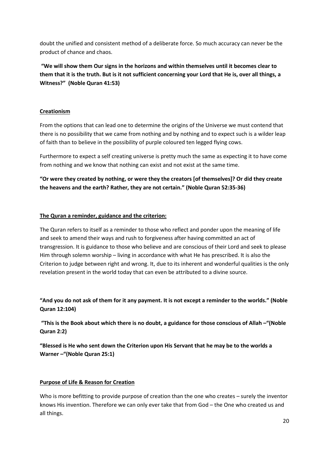doubt the unified and consistent method of a deliberate force. So much accuracy can never be the product of chance and chaos.

**"We will show them Our signs in the horizons and within themselves until it becomes clear to them that it is the truth. But is it not sufficient concerning your Lord that He is, over all things, a Witness?" (Noble Quran 41:53)**

#### **Creationism**

From the options that can lead one to determine the origins of the Universe we must contend that there is no possibility that we came from nothing and by nothing and to expect such is a wilder leap of faith than to believe in the possibility of purple coloured ten legged flying cows.

Furthermore to expect a self creating universe is pretty much the same as expecting it to have come from nothing and we know that nothing can exist and not exist at the same time.

**"Or were they created by nothing, or were they the creators [of themselves]? Or did they create the heavens and the earth? Rather, they are not certain." (Noble Quran 52:35-36)**

#### **The Quran a reminder, guidance and the criterion:**

The Quran refers to itself as a reminder to those who reflect and ponder upon the meaning of life and seek to amend their ways and rush to forgiveness after having committed an act of transgression. It is guidance to those who believe and are conscious of their Lord and seek to please Him through solemn worship – living in accordance with what He has prescribed. It is also the Criterion to judge between right and wrong. It, due to its inherent and wonderful qualities is the only revelation present in the world today that can even be attributed to a divine source.

**"And you do not ask of them for it any payment. It is not except a reminder to the worlds." (Noble Quran 12:104)**

**"This is the Book about which there is no doubt, a guidance for those conscious of Allah –"(Noble Quran 2:2)**

**"Blessed is He who sent down the Criterion upon His Servant that he may be to the worlds a Warner –"(Noble Quran 25:1)**

#### **Purpose of Life & Reason for Creation**

Who is more befitting to provide purpose of creation than the one who creates – surely the inventor knows His invention. Therefore we can only ever take that from God – the One who created us and all things.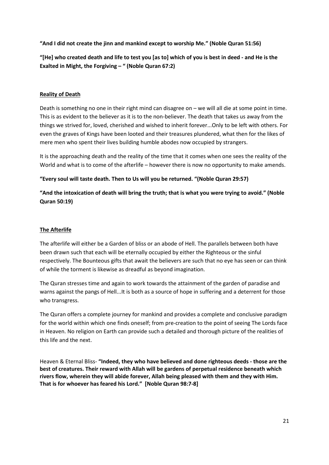**"And I did not create the jinn and mankind except to worship Me." (Noble Quran 51:56)**

**"[He] who created death and life to test you [as to] which of you is best in deed - and He is the Exalted in Might, the Forgiving – " (Noble Quran 67:2)**

#### **Reality of Death**

Death is something no one in their right mind can disagree on – we will all die at some point in time. This is as evident to the believer as it is to the non-believer. The death that takes us away from the things we strived for, loved, cherished and wished to inherit forever...Only to be left with others. For even the graves of Kings have been looted and their treasures plundered, what then for the likes of mere men who spent their lives building humble abodes now occupied by strangers.

It is the approaching death and the reality of the time that it comes when one sees the reality of the World and what is to come of the afterlife – however there is now no opportunity to make amends.

#### **"Every soul will taste death. Then to Us will you be returned. "(Noble Quran 29:57)**

**"And the intoxication of death will bring the truth; that is what you were trying to avoid." (Noble Quran 50:19)**

#### **The Afterlife**

The afterlife will either be a Garden of bliss or an abode of Hell. The parallels between both have been drawn such that each will be eternally occupied by either the Righteous or the sinful respectively. The Bounteous gifts that await the believers are such that no eye has seen or can think of while the torment is likewise as dreadful as beyond imagination.

The Quran stresses time and again to work towards the attainment of the garden of paradise and warns against the pangs of Hell...It is both as a source of hope in suffering and a deterrent for those who transgress.

The Quran offers a complete journey for mankind and provides a complete and conclusive paradigm for the world within which one finds oneself; from pre-creation to the point of seeing The Lords face in Heaven. No religion on Earth can provide such a detailed and thorough picture of the realities of this life and the next.

Heaven & Eternal Bliss- **"Indeed, they who have believed and done righteous deeds - those are the best of creatures. Their reward with Allah will be gardens of perpetual residence beneath which rivers flow, wherein they will abide forever, Allah being pleased with them and they with Him. That is for whoever has feared his Lord." [Noble Quran 98:7-8]**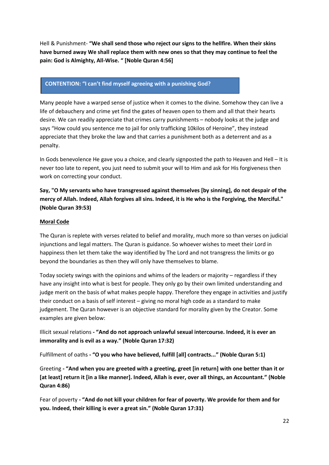Hell & Punishment- **"We shall send those who reject our signs to the hellfire. When their skins have burned away We shall replace them with new ones so that they may continue to feel the pain: God is Almighty, All-Wise. " [Noble Quran 4:56]**

#### **CONTENTION: "I can't find myself agreeing with a punishing God?**

Many people have a warped sense of justice when it comes to the divine. Somehow they can live a life of debauchery and crime yet find the gates of heaven open to them and all that their hearts desire. We can readily appreciate that crimes carry punishments – nobody looks at the judge and says "How could you sentence me to jail for only trafficking 10kilos of Heroine", they instead appreciate that they broke the law and that carries a punishment both as a deterrent and as a penalty.

In Gods benevolence He gave you a choice, and clearly signposted the path to Heaven and Hell – It is never too late to repent, you just need to submit your will to Him and ask for His forgiveness then work on correcting your conduct.

**Say, "O My servants who have transgressed against themselves [by sinning], do not despair of the mercy of Allah. Indeed, Allah forgives all sins. Indeed, it is He who is the Forgiving, the Merciful." (Noble Quran 39:53)**

#### **Moral Code**

The Quran is replete with verses related to belief and morality, much more so than verses on judicial injunctions and legal matters. The Quran is guidance. So whoever wishes to meet their Lord in happiness then let them take the way identified by The Lord and not transgress the limits or go beyond the boundaries as then they will only have themselves to blame.

Today society swings with the opinions and whims of the leaders or majority – regardless if they have any insight into what is best for people. They only go by their own limited understanding and judge merit on the basis of what makes people happy. Therefore they engage in activities and justify their conduct on a basis of self interest – giving no moral high code as a standard to make judgement. The Quran however is an objective standard for morality given by the Creator. Some examples are given below:

Illicit sexual relations **- "And do not approach unlawful sexual intercourse. Indeed, it is ever an immorality and is evil as a way." (Noble Quran 17:32)**

Fulfillment of oaths **- "O you who have believed, fulfill [all] contracts..." (Noble Quran 5:1)**

Greeting **- "And when you are greeted with a greeting, greet [in return] with one better than it or [at least] return it [in a like manner]. Indeed, Allah is ever, over all things, an Accountant." (Noble Quran 4:86)**

Fear of poverty **- "And do not kill your children for fear of poverty. We provide for them and for you. Indeed, their killing is ever a great sin." (Noble Quran 17:31)**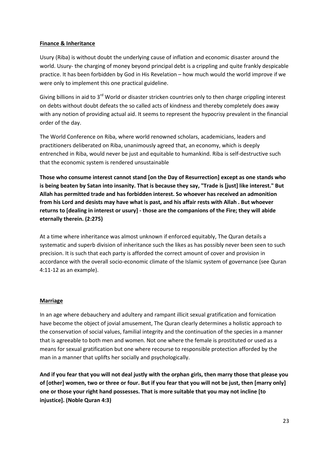#### **Finance & Inheritance**

Usury (Riba) is without doubt the underlying cause of inflation and economic disaster around the world. Usury- the charging of money beyond principal debt is a crippling and quite frankly despicable practice. It has been forbidden by God in His Revelation – how much would the world improve if we were only to implement this one practical guideline.

Giving billions in aid to 3<sup>rd</sup> World or disaster stricken countries only to then charge crippling interest on debts without doubt defeats the so called acts of kindness and thereby completely does away with any notion of providing actual aid. It seems to represent the hypocrisy prevalent in the financial order of the day.

The World Conference on Riba, where world renowned scholars, academicians, leaders and practitioners deliberated on Riba, unanimously agreed that, an economy, which is deeply entrenched in Riba, would never be just and equitable to humankind. Riba is self-destructive such that the economic system is rendered unsustainable

**Those who consume interest cannot stand [on the Day of Resurrection] except as one stands who is being beaten by Satan into insanity. That is because they say, "Trade is [just] like interest." But Allah has permitted trade and has forbidden interest. So whoever has received an admonition from his Lord and desists may have what is past, and his affair rests with Allah . But whoever returns to [dealing in interest or usury] - those are the companions of the Fire; they will abide eternally therein. (2:275)**

At a time where inheritance was almost unknown if enforced equitably, The Quran details a systematic and superb division of inheritance such the likes as has possibly never been seen to such precision. It is such that each party is afforded the correct amount of cover and provision in accordance with the overall socio-economic climate of the Islamic system of governance (see Quran 4:11-12 as an example).

#### **Marriage**

In an age where debauchery and adultery and rampant illicit sexual gratification and fornication have become the object of jovial amusement, The Quran clearly determines a holistic approach to the conservation of social values, familial integrity and the continuation of the species in a manner that is agreeable to both men and women. Not one where the female is prostituted or used as a means for sexual gratification but one where recourse to responsible protection afforded by the man in a manner that uplifts her socially and psychologically.

**And if you fear that you will not deal justly with the orphan girls, then marry those that please you of [other] women, two or three or four. But if you fear that you will not be just, then [marry only] one or those your right hand possesses. That is more suitable that you may not incline [to injustice]. (Noble Quran 4:3)**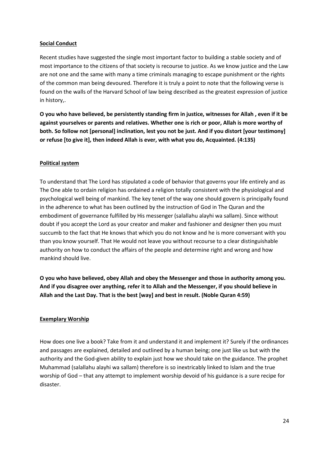#### **Social Conduct**

Recent studies have suggested the single most important factor to building a stable society and of most importance to the citizens of that society is recourse to justice. As we know justice and the Law are not one and the same with many a time criminals managing to escape punishment or the rights of the common man being devoured. Therefore it is truly a point to note that the following verse is found on the walls of the Harvard School of law being described as the greatest expression of justice in history,.

**O you who have believed, be persistently standing firm in justice, witnesses for Allah , even if it be against yourselves or parents and relatives. Whether one is rich or poor, Allah is more worthy of both. So follow not [personal] inclination, lest you not be just. And if you distort [your testimony] or refuse [to give it], then indeed Allah is ever, with what you do, Acquainted. (4:135)**

#### **Political system**

To understand that The Lord has stipulated a code of behavior that governs your life entirely and as The One able to ordain religion has ordained a religion totally consistent with the physiological and psychological well being of mankind. The key tenet of the way one should govern is principally found in the adherence to what has been outlined by the instruction of God in The Quran and the embodiment of governance fulfilled by His messenger (salallahu alayhi wa sallam). Since without doubt if you accept the Lord as your creator and maker and fashioner and designer then you must succumb to the fact that He knows that which you do not know and he is more conversant with you than you know yourself. That He would not leave you without recourse to a clear distinguishable authority on how to conduct the affairs of the people and determine right and wrong and how mankind should live.

**O you who have believed, obey Allah and obey the Messenger and those in authority among you. And if you disagree over anything, refer it to Allah and the Messenger, if you should believe in Allah and the Last Day. That is the best [way] and best in result. (Noble Quran 4:59)**

#### **Exemplary Worship**

How does one live a book? Take from it and understand it and implement it? Surely if the ordinances and passages are explained, detailed and outlined by a human being; one just like us but with the authority and the God-given ability to explain just how we should take on the guidance. The prophet Muhammad (salallahu alayhi wa sallam) therefore is so inextricably linked to Islam and the true worship of God – that any attempt to implement worship devoid of his guidance is a sure recipe for disaster.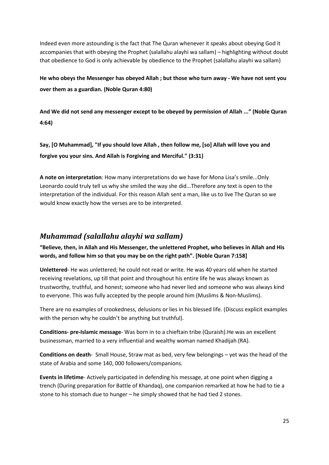Indeed even more astounding is the fact that The Quran whenever it speaks about obeying God it accompanies that with obeying the Prophet (salallahu alayhi wa sallam) – highlighting without doubt that obedience to God is only achievable by obedience to the Prophet (salallahu alayhi wa sallam)

**He who obeys the Messenger has obeyed Allah ; but those who turn away - We have not sent you over them as a guardian. (Noble Quran 4:80)**

**And We did not send any messenger except to be obeyed by permission of Allah ..." (Noble Quran 4:64)**

**Say, [O Muhammad], "If you should love Allah , then follow me, [so] Allah will love you and forgive you your sins. And Allah is Forgiving and Merciful." (3:31)**

**A note on interpretation**: How many interpretations do we have for Mona Lisa's smile...Only Leonardo could truly tell us why she smiled the way she did...Therefore any text is open to the interpretation of the individual. For this reason Allah sent a man, like us to live The Quran so we would know exactly how the verses are to be interpreted.

# <span id="page-24-0"></span>*Muhammad (salallahu alayhi wa sallam)*

**"Believe, then, in Allah and His Messenger, the unlettered Prophet, who believes in Allah and His words, and follow him so that you may be on the right path". [Noble Quran 7:158]**

**Unlettered**- He was unlettered; he could not read or write. He was 40 years old when he started receiving revelations, up till that point and throughout his entire life he was always known as trustworthy, truthful, and honest; someone who had never lied and someone who was always kind to everyone. This was fully accepted by the people around him (Muslims & Non-Muslims).

There are no examples of crookedness, delusions or lies in his blessed life. (Discuss explicit examples with the person why he couldn't be anything but truthful).

**Conditions- pre-Islamic message**- Was born in to a chieftain tribe (Quraish).He was an excellent businessman, married to a very influential and wealthy woman named Khadijah (RA).

**Conditions on death**- Small House, Straw mat as bed, very few belongings – yet was the head of the state of Arabia and some 140, 000 followers/companions.

**Events in lifetime**- Actively participated in defending his message, at one point when digging a trench (During preparation for Battle of Khandaq), one companion remarked at how he had to tie a stone to his stomach due to hunger – he simply showed that he had tied 2 stones.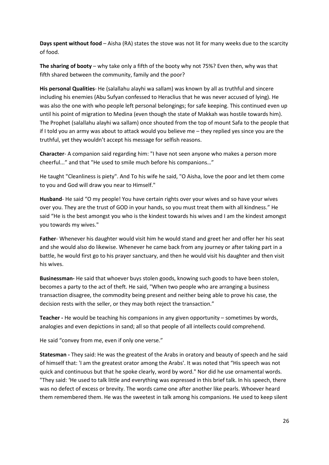**Days spent without food** – Aisha (RA) states the stove was not lit for many weeks due to the scarcity of food.

**The sharing of booty** – why take only a fifth of the booty why not 75%? Even then, why was that fifth shared between the community, family and the poor?

**His personal Qualities**- He (salallahu alayhi wa sallam) was known by all as truthful and sincere including his enemies (Abu Sufyan confessed to Heraclius that he was never accused of lying). He was also the one with who people left personal belongings; for safe keeping. This continued even up until his point of migration to Medina (even though the state of Makkah was hostile towards him). The Prophet (salallahu alayhi wa sallam) once shouted from the top of mount Safa to the people that if I told you an army was about to attack would you believe me – they replied yes since you are the truthful, yet they wouldn't accept his message for selfish reasons.

**Character**- A companion said regarding him: "I have not seen anyone who makes a person more cheerful..." and that "He used to smile much before his companions…"

He taught "Cleanliness is piety". And To his wife he said, "O Aisha, love the poor and let them come to you and God will draw you near to Himself."

**Husband**- He said "O my people! You have certain rights over your wives and so have your wives over you. They are the trust of GOD in your hands, so you must treat them with all kindness." He said "He is the best amongst you who is the kindest towards his wives and I am the kindest amongst you towards my wives."

**Father**- Whenever his daughter would visit him he would stand and greet her and offer her his seat and she would also do likewise. Whenever he came back from any journey or after taking part in a battle, he would first go to his prayer sanctuary, and then he would visit his daughter and then visit his wives.

**Businessman-** He said that whoever buys stolen goods, knowing such goods to have been stolen, becomes a party to the act of theft. He said, "When two people who are arranging a business transaction disagree, the commodity being present and neither being able to prove his case, the decision rests with the seller, or they may both reject the transaction."

**Teacher -** He would be teaching his companions in any given opportunity – sometimes by words, analogies and even depictions in sand; all so that people of all intellects could comprehend.

He said "convey from me, even if only one verse."

**Statesman -** They said: He was the greatest of the Arabs in oratory and beauty of speech and he said of himself that: 'I am the greatest orator among the Arabs'. It was noted that "His speech was not quick and continuous but that he spoke clearly, word by word." Nor did he use ornamental words. "They said: 'He used to talk little and everything was expressed in this brief talk. In his speech, there was no defect of excess or brevity. The words came one after another like pearls. Whoever heard them remembered them. He was the sweetest in talk among his companions. He used to keep silent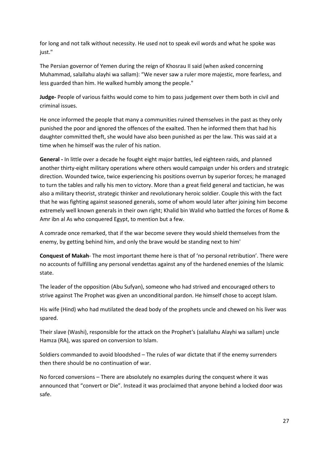for long and not talk without necessity. He used not to speak evil words and what he spoke was just."

The Persian governor of Yemen during the reign of Khosrau II said (when asked concerning Muhammad, salallahu alayhi wa sallam): "We never saw a ruler more majestic, more fearless, and less guarded than him. He walked humbly among the people."

**Judge-** People of various faiths would come to him to pass judgement over them both in civil and criminal issues.

He once informed the people that many a communities ruined themselves in the past as they only punished the poor and ignored the offences of the exalted. Then he informed them that had his daughter committed theft, she would have also been punished as per the law. This was said at a time when he himself was the ruler of his nation.

**General -** In little over a decade he fought eight major battles, led eighteen raids, and planned another thirty-eight military operations where others would campaign under his orders and strategic direction. Wounded twice, twice experiencing his positions overrun by superior forces; he managed to turn the tables and rally his men to victory. More than a great field general and tactician, he was also a military theorist, strategic thinker and revolutionary heroic soldier. Couple this with the fact that he was fighting against seasoned generals, some of whom would later after joining him become extremely well known generals in their own right; Khalid bin Walid who battled the forces of Rome & Amr ibn al As who conquered Egypt, to mention but a few.

A comrade once remarked, that if the war become severe they would shield themselves from the enemy, by getting behind him, and only the brave would be standing next to him'

**Conquest of Makah**- The most important theme here is that of 'no personal retribution'. There were no accounts of fulfilling any personal vendettas against any of the hardened enemies of the Islamic state.

The leader of the opposition (Abu Sufyan), someone who had strived and encouraged others to strive against The Prophet was given an unconditional pardon. He himself chose to accept Islam.

His wife (Hind) who had mutilated the dead body of the prophets uncle and chewed on his liver was spared.

Their slave (Washi), responsible for the attack on the Prophet's (salallahu Alayhi wa sallam) uncle Hamza (RA), was spared on conversion to Islam.

Soldiers commanded to avoid bloodshed – The rules of war dictate that if the enemy surrenders then there should be no continuation of war.

No forced conversions – There are absolutely no examples during the conquest where it was announced that "convert or Die". Instead it was proclaimed that anyone behind a locked door was safe.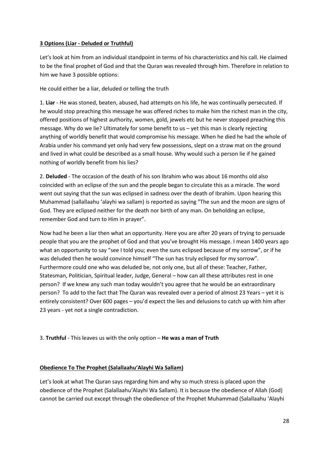#### **3 Options (Liar - Deluded or Truthful)**

Let's look at him from an individual standpoint in terms of his characteristics and his call. He claimed to be the final prophet of God and that the Quran was revealed through him. Therefore in relation to him we have 3 possible options:

He could either be a liar, deluded or telling the truth

1. **Liar** - He was stoned, beaten, abused, had attempts on his life, he was continually persecuted. If he would stop preaching this message he was offered riches to make him the richest man in the city, offered positions of highest authority, women, gold, jewels etc but he never stopped preaching this message. Why do we lie? Ultimately for some benefit to us – yet this man is clearly rejecting anything of worldly benefit that would compromise his message. When he died he had the whole of Arabia under his command yet only had very few possessions, slept on a straw mat on the ground and lived in what could be described as a small house. Why would such a person lie if he gained nothing of worldly benefit from his lies?

2. **Deluded** - The occasion of the death of his son Ibrahim who was about 16 months old also coincided with an eclipse of the sun and the people began to circulate this as a miracle. The word went out saying that the sun was eclipsed in sadness over the death of Ibrahim. Upon hearing this Muhammad (sallallaahu 'alayhi wa sallam) is reported as saying "The sun and the moon are signs of God. They are eclipsed neither for the death nor birth of any man. On beholding an eclipse, remember God and turn to Him in prayer".

Now had he been a liar then what an opportunity. Here you are after 20 years of trying to persuade people that you are the prophet of God and that you've brought His message. I mean 1400 years ago what an opportunity to say "see I told you; even the suns eclipsed because of my sorrow", or if he was deluded then he would convince himself "The sun has truly eclipsed for my sorrow". Furthermore could one who was deluded be, not only one, but all of these: Teacher, Father, Statesman, Politician, Spiritual leader, Judge, General – how can all these attributes rest in one person? If we knew any such man today wouldn't you agree that he would be an extraordinary person? To add to the fact that The Quran was revealed over a period of almost 23 Years – yet it is entirely consistent? Over 600 pages – you'd expect the lies and delusions to catch up with him after 23 years - yet not a single contradiction.

3. **Truthful** - This leaves us with the only option – **He was a man of Truth**

#### **Obedience To The Prophet (Salallaahu'Alayhi Wa Sallam)**

Let's look at what The Quran says regarding him and why so much stress is placed upon the obedience of the Prophet (Salallaahu'Alayhi Wa Sallam). It is because the obedience of Allah (God) cannot be carried out except through the obedience of the Prophet Muhammad (Salallaahu 'Alayhi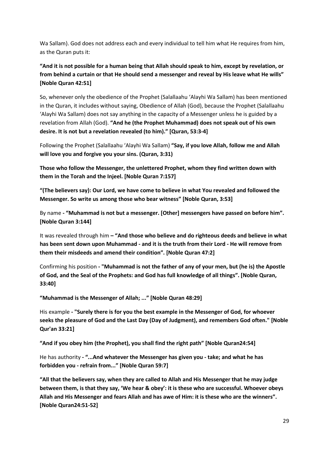Wa Sallam). God does not address each and every individual to tell him what He requires from him, as the Quran puts it:

**"And it is not possible for a human being that Allah should speak to him, except by revelation, or from behind a curtain or that He should send a messenger and reveal by His leave what He wills" [Noble Quran 42:51]**

So, whenever only the obedience of the Prophet (Salallaahu 'Alayhi Wa Sallam) has been mentioned in the Quran, it includes without saying, Obedience of Allah (God), because the Prophet (Salallaahu 'Alayhi Wa Sallam) does not say anything in the capacity of a Messenger unless he is guided by a revelation from Allah (God). **"And he (the Prophet Muhammad) does not speak out of his own desire. It is not but a revelation revealed (to him)." [Quran, 53:3-4]**

Following the Prophet (Salallaahu 'Alayhi Wa Sallam) **"Say, if you love Allah, follow me and Allah will love you and forgive you your sins. (Quran, 3:31)** 

**Those who follow the Messenger, the unlettered Prophet, whom they find written down with them in the Torah and the Injeel. [Noble Quran 7:157]** 

**"(The believers say): Our Lord, we have come to believe in what You revealed and followed the Messenger. So write us among those who bear witness" [Noble Quran, 3:53]**

By name **- "Muhammad is not but a messenger. [Other] messengers have passed on before him". [Noble Quran 3:144]** 

It was revealed through him **– "And those who believe and do righteous deeds and believe in what has been sent down upon Muhammad - and it is the truth from their Lord - He will remove from them their misdeeds and amend their condition". [Noble Quran 47:2]** 

Confirming his position **- "Muhammad is not the father of any of your men, but (he is) the Apostle of God, and the Seal of the Prophets: and God has full knowledge of all things". [Noble Quran, 33:40]** 

**"Muhammad is the Messenger of Allah; ..." [Noble Quran 48:29]** 

His example **- "Surely there is for you the best example in the Messenger of God, for whoever seeks the pleasure of God and the Last Day (Day of Judgment), and remembers God often." [Noble Qur'an 33:21]** 

**"And if you obey him (the Prophet), you shall find the right path" [Noble Quran24:54]** 

He has authority **- "...And whatever the Messenger has given you - take; and what he has forbidden you - refrain from..." [Noble Quran 59:7]** 

**"All that the believers say, when they are called to Allah and His Messenger that he may judge between them, is that they say, 'We hear & obey': it is these who are successful. Whoever obeys Allah and His Messenger and fears Allah and has awe of Him: it is these who are the winners". [Noble Quran24:51-52]**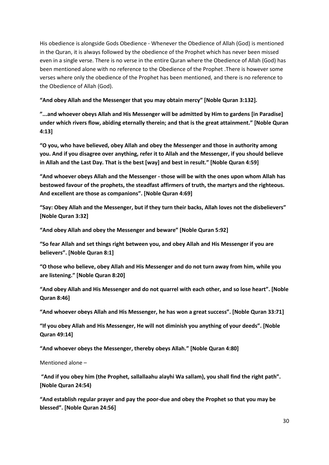His obedience is alongside Gods Obedience - Whenever the Obedience of Allah (God) is mentioned in the Quran, it is always followed by the obedience of the Prophet which has never been missed even in a single verse. There is no verse in the entire Quran where the Obedience of Allah (God) has been mentioned alone with no reference to the Obedience of the Prophet .There is however some verses where only the obedience of the Prophet has been mentioned, and there is no reference to the Obedience of Allah (God).

**"And obey Allah and the Messenger that you may obtain mercy" [Noble Quran 3:132].** 

**"...and whoever obeys Allah and His Messenger will be admitted by Him to gardens [in Paradise] under which rivers flow, abiding eternally therein; and that is the great attainment." [Noble Quran 4:13]** 

**"O you, who have believed, obey Allah and obey the Messenger and those in authority among you. And if you disagree over anything, refer it to Allah and the Messenger, if you should believe in Allah and the Last Day. That is the best [way] and best in result." [Noble Quran 4:59]** 

**"And whoever obeys Allah and the Messenger - those will be with the ones upon whom Allah has bestowed favour of the prophets, the steadfast affirmers of truth, the martyrs and the righteous. And excellent are those as companions". [Noble Quran 4:69]** 

**"Say: Obey Allah and the Messenger, but if they turn their backs, Allah loves not the disbelievers" [Noble Quran 3:32]** 

**"And obey Allah and obey the Messenger and beware" [Noble Quran 5:92]**

**"So fear Allah and set things right between you, and obey Allah and His Messenger if you are believers". [Noble Quran 8:1]** 

**"O those who believe, obey Allah and His Messenger and do not turn away from him, while you are listening." [Noble Quran 8:20]** 

**"And obey Allah and His Messenger and do not quarrel with each other, and so lose heart". [Noble Quran 8:46]** 

**"And whoever obeys Allah and His Messenger, he has won a great success". [Noble Quran 33:71]** 

**"If you obey Allah and His Messenger, He will not diminish you anything of your deeds". [Noble Quran 49:14]** 

**"And whoever obeys the Messenger, thereby obeys Allah." [Noble Quran 4:80]**

Mentioned alone –

**"And if you obey him (the Prophet, sallallaahu alayhi Wa sallam), you shall find the right path". [Noble Quran 24:54)** 

**"And establish regular prayer and pay the poor-due and obey the Prophet so that you may be blessed". [Noble Quran 24:56]**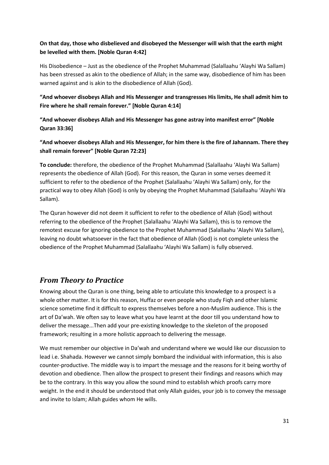#### **On that day, those who disbelieved and disobeyed the Messenger will wish that the earth might be levelled with them. [Noble Quran 4:42]**

His Disobedience – Just as the obedience of the Prophet Muhammad (Salallaahu 'Alayhi Wa Sallam) has been stressed as akin to the obedience of Allah; in the same way, disobedience of him has been warned against and is akin to the disobedience of Allah (God).

**"And whoever disobeys Allah and His Messenger and transgresses His limits, He shall admit him to Fire where he shall remain forever." [Noble Quran 4:14]** 

**"And whoever disobeys Allah and His Messenger has gone astray into manifest error" [Noble Quran 33:36]** 

**"And whoever disobeys Allah and His Messenger, for him there is the fire of Jahannam. There they shall remain forever" [Noble Quran 72:23]** 

**To conclude:** therefore, the obedience of the Prophet Muhammad (Salallaahu 'Alayhi Wa Sallam) represents the obedience of Allah (God). For this reason, the Quran in some verses deemed it sufficient to refer to the obedience of the Prophet (Salallaahu 'Alayhi Wa Sallam) only, for the practical way to obey Allah (God) is only by obeying the Prophet Muhammad (Salallaahu 'Alayhi Wa Sallam).

The Quran however did not deem it sufficient to refer to the obedience of Allah (God) without referring to the obedience of the Prophet (Salallaahu 'Alayhi Wa Sallam), this is to remove the remotest excuse for ignoring obedience to the Prophet Muhammad (Salallaahu 'Alayhi Wa Sallam), leaving no doubt whatsoever in the fact that obedience of Allah (God) is not complete unless the obedience of the Prophet Muhammad (Salallaahu 'Alayhi Wa Sallam) is fully observed.

# *From Theory to Practice*

Knowing about the Quran is one thing, being able to articulate this knowledge to a prospect is a whole other matter. It is for this reason, Huffaz or even people who study Fiqh and other Islamic science sometime find it difficult to express themselves before a non-Muslim audience. This is the art of Da'wah. We often say to leave what you have learnt at the door till you understand how to deliver the message...Then add your pre-existing knowledge to the skeleton of the proposed framework; resulting in a more holistic approach to delivering the message.

We must remember our objective in Da'wah and understand where we would like our discussion to lead i.e. Shahada. However we cannot simply bombard the individual with information, this is also counter-productive. The middle way is to impart the message and the reasons for it being worthy of devotion and obedience. Then allow the prospect to present their findings and reasons which may be to the contrary. In this way you allow the sound mind to establish which proofs carry more weight. In the end it should be understood that only Allah guides, your job is to convey the message and invite to Islam; Allah guides whom He wills.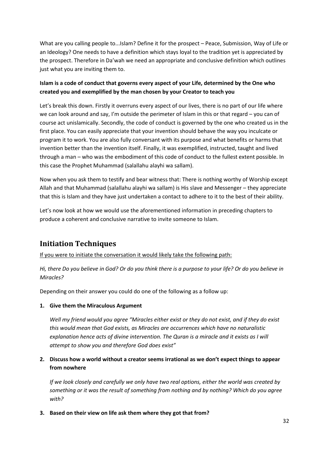What are you calling people to...Islam? Define it for the prospect – Peace, Submission, Way of Life or an Ideology? One needs to have a definition which stays loyal to the tradition yet is appreciated by the prospect. Therefore in Da'wah we need an appropriate and conclusive definition which outlines just what you are inviting them to.

#### **Islam is a code of conduct that governs every aspect of your Life, determined by the One who created you and exemplified by the man chosen by your Creator to teach you**

Let's break this down. Firstly it overruns every aspect of our lives, there is no part of our life where we can look around and say, I'm outside the perimeter of Islam in this or that regard – you can of course act unislamically. Secondly, the code of conduct is governed by the one who created us in the first place. You can easily appreciate that your invention should behave the way you inculcate or program it to work. You are also fully conversant with its purpose and what benefits or harms that invention better than the invention itself. Finally, it was exemplified, instructed, taught and lived through a man – who was the embodiment of this code of conduct to the fullest extent possible. In this case the Prophet Muhammad (salallahu alayhi wa sallam).

Now when you ask them to testify and bear witness that: There is nothing worthy of Worship except Allah and that Muhammad (salallahu alayhi wa sallam) is His slave and Messenger – they appreciate that this is Islam and they have just undertaken a contact to adhere to it to the best of their ability.

Let's now look at how we would use the aforementioned information in preceding chapters to produce a coherent and conclusive narrative to invite someone to Islam.

# <span id="page-31-0"></span>**Initiation Techniques**

If you were to initiate the conversation it would likely take the following path:

*Hi, there Do you believe in God? Or do you think there is a purpose to your life? Or do you believe in Miracles?* 

Depending on their answer you could do one of the following as a follow up:

#### **1. Give them the Miraculous Argument**

*Well my friend would you agree "Miracles either exist or they do not exist, and if they do exist this would mean that God exists, as Miracles are occurrences which have no naturalistic explanation hence acts of divine intervention. The Quran is a miracle and it exists as I will attempt to show you and therefore God does exist"*

#### **2. Discuss how a world without a creator seems irrational as we don't expect things to appear from nowhere**

*If we look closely and carefully we only have two real options, either the world was created by something or it was the result of something from nothing and by nothing? Which do you agree with?*

**3. Based on their view on life ask them where they got that from?**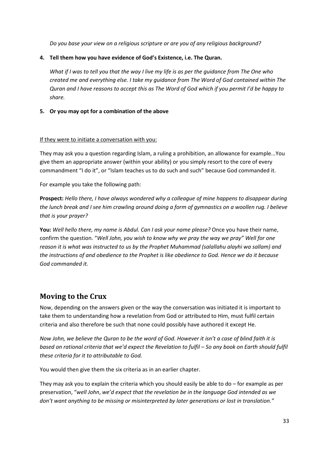*Do you base your view on a religious scripture or are you of any religious background?*

#### **4. Tell them how you have evidence of God's Existence, i.e. The Quran.**

*What if I was to tell you that the way I live my life is as per the guidance from The One who created me and everything else. I take my guidance from The Word of God contained within The Quran and I have reasons to accept this as The Word of God which if you permit I'd be happy to share.*

#### **5. Or you may opt for a combination of the above**

#### If they were to initiate a conversation with you:

They may ask you a question regarding Islam, a ruling a prohibition, an allowance for example...You give them an appropriate answer (within your ability) or you simply resort to the core of every commandment "I do it", or "Islam teaches us to do such and such" because God commanded it.

For example you take the following path:

**Prospect:** *Hello there, I have always wondered why a colleague of mine happens to disappear during the lunch break and I see him crawling around doing a form of gymnastics on a woollen rug. I believe that is your prayer?*

**You:** *Well hello there, my name is Abdul. Can I ask your name please?* Once you have their name, confirm the question. "*Well John, you wish to know why we pray the way we pray" Well for one reason it is what was instructed to us by the Prophet Muhammad (salallahu alayhi wa sallam) and the instructions of and obedience to the Prophet is like obedience to God. Hence we do it because God commanded it.*

# <span id="page-32-0"></span>**Moving to the Crux**

Now, depending on the answers given or the way the conversation was initiated it is important to take them to understanding how a revelation from God or attributed to Him, must fulfil certain criteria and also therefore be such that none could possibly have authored it except He.

*Now John, we believe the Quran to be the word of God. However it isn't a case of blind faith it is based on rational criteria that we'd expect the Revelation to fulfil – So any book on Earth should fulfil these criteria for it to attributable to God.*

You would then give them the six criteria as in an earlier chapter.

They may ask you to explain the criteria which you should easily be able to do – for example as per preservation, "*well John*, *we'd expect that the revelation be in the language God intended as we don't want anything to be missing or misinterpreted by later generations or lost in translation."*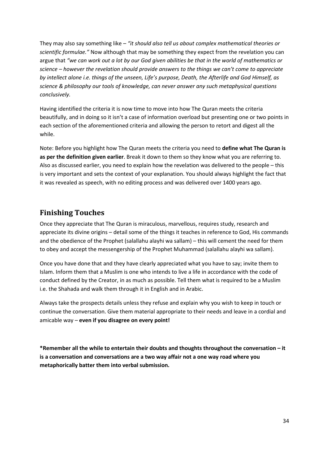They may also say something like *– "it should also tell us about complex mathematical theories or scientific formulae."* Now although that may be something they expect from the revelation you can argue that *"we can work out a lot by our God given abilities be that in the world of mathematics or science – however the revelation should provide answers to the things we can't come to appreciate by intellect alone i.e. things of the unseen, Life's purpose, Death, the Afterlife and God Himself, as science & philosophy our tools of knowledge, can never answer any such metaphysical questions conclusively.*

Having identified the criteria it is now time to move into how The Quran meets the criteria beautifully, and in doing so it isn't a case of information overload but presenting one or two points in each section of the aforementioned criteria and allowing the person to retort and digest all the while.

Note: Before you highlight how The Quran meets the criteria you need to **define what The Quran is as per the definition given earlier**. Break it down to them so they know what you are referring to. Also as discussed earlier, you need to explain how the revelation was delivered to the people – this is very important and sets the context of your explanation. You should always highlight the fact that it was revealed as speech, with no editing process and was delivered over 1400 years ago.

# <span id="page-33-0"></span>**Finishing Touches**

Once they appreciate that The Quran is miraculous, marvellous, requires study, research and appreciate its divine origins – detail some of the things it teaches in reference to God, His commands and the obedience of the Prophet (salallahu alayhi wa sallam) – this will cement the need for them to obey and accept the messengership of the Prophet Muhammad (salallahu alayhi wa sallam).

Once you have done that and they have clearly appreciated what you have to say; invite them to Islam. Inform them that a Muslim is one who intends to live a life in accordance with the code of conduct defined by the Creator, in as much as possible. Tell them what is required to be a Muslim i.e. the Shahada and walk them through it in English and in Arabic.

Always take the prospects details unless they refuse and explain why you wish to keep in touch or continue the conversation. Give them material appropriate to their needs and leave in a cordial and amicable way – **even if you disagree on every point!**

**\*Remember all the while to entertain their doubts and thoughts throughout the conversation – it is a conversation and conversations are a two way affair not a one way road where you metaphorically batter them into verbal submission.**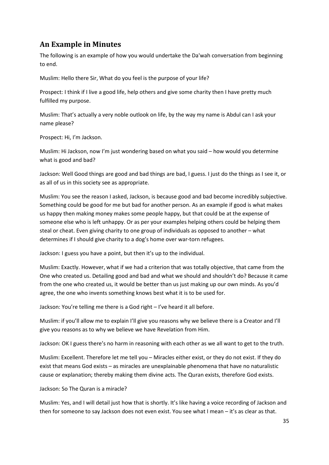# <span id="page-34-0"></span>**An Example in Minutes**

The following is an example of how you would undertake the Da'wah conversation from beginning to end.

Muslim: Hello there Sir, What do you feel is the purpose of your life?

Prospect: I think if I live a good life, help others and give some charity then I have pretty much fulfilled my purpose.

Muslim: That's actually a very noble outlook on life, by the way my name is Abdul can I ask your name please?

Prospect: Hi, I'm Jackson.

Muslim: Hi Jackson, now I'm just wondering based on what you said – how would you determine what is good and bad?

Jackson: Well Good things are good and bad things are bad, I guess. I just do the things as I see it, or as all of us in this society see as appropriate.

Muslim: You see the reason I asked, Jackson, is because good and bad become incredibly subjective. Something could be good for me but bad for another person. As an example if good is what makes us happy then making money makes some people happy, but that could be at the expense of someone else who is left unhappy. Or as per your examples helping others could be helping them steal or cheat. Even giving charity to one group of individuals as opposed to another – what determines if I should give charity to a dog's home over war-torn refugees.

Jackson: I guess you have a point, but then it's up to the individual.

Muslim: Exactly. However, what if we had a criterion that was totally objective, that came from the One who created us. Detailing good and bad and what we should and shouldn't do? Because it came from the one who created us, it would be better than us just making up our own minds. As you'd agree, the one who invents something knows best what it is to be used for.

Jackson: You're telling me there is a God right – I've heard it all before.

Muslim: if you'll allow me to explain I'll give you reasons why we believe there is a Creator and I'll give you reasons as to why we believe we have Revelation from Him.

Jackson: OK I guess there's no harm in reasoning with each other as we all want to get to the truth.

Muslim: Excellent. Therefore let me tell you – Miracles either exist, or they do not exist. If they do exist that means God exists – as miracles are unexplainable phenomena that have no naturalistic cause or explanation; thereby making them divine acts. The Quran exists, therefore God exists.

Jackson: So The Quran is a miracle?

Muslim: Yes, and I will detail just how that is shortly. It's like having a voice recording of Jackson and then for someone to say Jackson does not even exist. You see what I mean – it's as clear as that.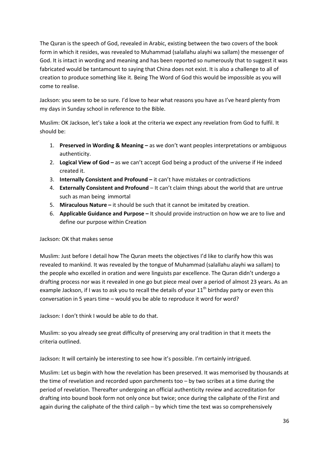The Quran is the speech of God, revealed in Arabic, existing between the two covers of the book form in which it resides, was revealed to Muhammad (salallahu alayhi wa sallam) the messenger of God. It is intact in wording and meaning and has been reported so numerously that to suggest it was fabricated would be tantamount to saying that China does not exist. It is also a challenge to all of creation to produce something like it. Being The Word of God this would be impossible as you will come to realise.

Jackson: you seem to be so sure. I'd love to hear what reasons you have as I've heard plenty from my days in Sunday school in reference to the Bible.

Muslim: OK Jackson, let's take a look at the criteria we expect any revelation from God to fulfil. It should be:

- 1. **Preserved in Wording & Meaning –** as we don't want peoples interpretations or ambiguous authenticity.
- 2. **Logical View of God –** as we can't accept God being a product of the universe if He indeed created it.
- 3. **Internally Consistent and Profound –** it can't have mistakes or contradictions
- 4. **Externally Consistent and Profound** It can't claim things about the world that are untrue such as man being immortal
- 5. **Miraculous Nature –** it should be such that it cannot be imitated by creation.
- 6. **Applicable Guidance and Purpose –** It should provide instruction on how we are to live and define our purpose within Creation

Jackson: OK that makes sense

Muslim: Just before I detail how The Quran meets the objectives I'd like to clarify how this was revealed to mankind. It was revealed by the tongue of Muhammad (salallahu alayhi wa sallam) to the people who excelled in oration and were linguists par excellence. The Quran didn't undergo a drafting process nor was it revealed in one go but piece meal over a period of almost 23 years. As an example Jackson, if I was to ask you to recall the details of your  $11<sup>th</sup>$  birthday party or even this conversation in 5 years time – would you be able to reproduce it word for word?

Jackson: I don't think I would be able to do that.

Muslim: so you already see great difficulty of preserving any oral tradition in that it meets the criteria outlined.

Jackson: It will certainly be interesting to see how it's possible. I'm certainly intrigued.

Muslim: Let us begin with how the revelation has been preserved. It was memorised by thousands at the time of revelation and recorded upon parchments too – by two scribes at a time during the period of revelation. Thereafter undergoing an official authenticity review and accreditation for drafting into bound book form not only once but twice; once during the caliphate of the First and again during the caliphate of the third caliph – by which time the text was so comprehensively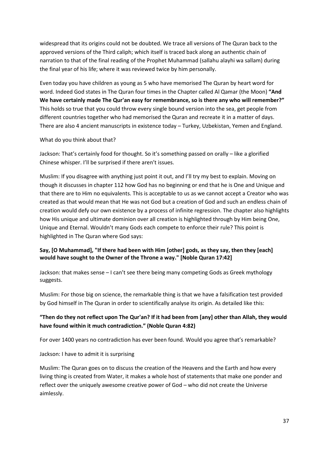widespread that its origins could not be doubted. We trace all versions of The Quran back to the approved versions of the Third caliph; which itself is traced back along an authentic chain of narration to that of the final reading of the Prophet Muhammad (sallahu alayhi wa sallam) during the final year of his life; where it was reviewed twice by him personally.

Even today you have children as young as 5 who have memorised The Quran by heart word for word. Indeed God states in The Quran four times in the Chapter called Al Qamar (the Moon) **"And We have certainly made The Qur'an easy for remembrance, so is there any who will remember?"** This holds so true that you could throw every single bound version into the sea, get people from different countries together who had memorised the Quran and recreate it in a matter of days. There are also 4 ancient manuscripts in existence today – Turkey, Uzbekistan, Yemen and England.

#### What do you think about that?

Jackson: That's certainly food for thought. So it's something passed on orally – like a glorified Chinese whisper. I'll be surprised if there aren't issues.

Muslim: If you disagree with anything just point it out, and I'll try my best to explain. Moving on though it discusses in chapter 112 how God has no beginning or end that he is One and Unique and that there are to Him no equivalents. This is acceptable to us as we cannot accept a Creator who was created as that would mean that He was not God but a creation of God and such an endless chain of creation would defy our own existence by a process of infinite regression. The chapter also highlights how His unique and ultimate dominion over all creation is highlighted through by Him being One, Unique and Eternal. Wouldn't many Gods each compete to enforce their rule? This point is highlighted in The Quran where God says:

#### **Say, [O Muhammad], "If there had been with Him [other] gods, as they say, then they [each] would have sought to the Owner of the Throne a way." [Noble Quran 17:42]**

Jackson: that makes sense – I can't see there being many competing Gods as Greek mythology suggests.

Muslim: For those big on science, the remarkable thing is that we have a falsification test provided by God himself in The Quran in order to scientifically analyse its origin. As detailed like this:

#### **"Then do they not reflect upon The Qur'an? If it had been from [any] other than Allah, they would have found within it much contradiction." (Noble Quran 4:82)**

For over 1400 years no contradiction has ever been found. Would you agree that's remarkable?

#### Jackson: I have to admit it is surprising

Muslim: The Quran goes on to discuss the creation of the Heavens and the Earth and how every living thing is created from Water, it makes a whole host of statements that make one ponder and reflect over the uniquely awesome creative power of God – who did not create the Universe aimlessly.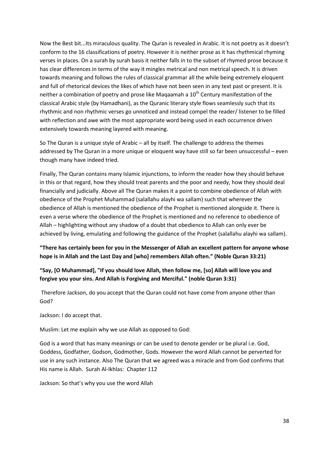Now the Best bit...Its miraculous quality. The Quran is revealed in Arabic. It is not poetry as it doesn't conform to the 16 classifications of poetry. However it is neither prose as it has rhythmical rhyming verses in places. On a surah by surah basis it neither falls in to the subset of rhymed prose because it has clear differences in terms of the way it mingles metrical and non metrical speech. It is driven towards meaning and follows the rules of classical grammar all the while being extremely eloquent and full of rhetorical devices the likes of which have not been seen in any text past or present. It is neither a combination of poetry and prose like Magaamah a  $10<sup>th</sup>$  Century manifestation of the classical Arabic style (by Hamadhani), as the Quranic literary style flows seamlessly such that its rhythmic and non rhythmic verses go unnoticed and instead compel the reader/ listener to be filled with reflection and awe with the most appropriate word being used in each occurrence driven extensively towards meaning layered with meaning.

So The Quran is a unique style of Arabic – all by itself. The challenge to address the themes addressed by The Quran in a more unique or eloquent way have still so far been unsuccessful – even though many have indeed tried.

Finally, The Quran contains many Islamic injunctions, to inform the reader how they should behave in this or that regard, how they should treat parents and the poor and needy, how they should deal financially and judicially. Above all The Quran makes it a point to combine obedience of Allah with obedience of the Prophet Muhammad (salallahu alayhi wa sallam) such that wherever the obedience of Allah is mentioned the obedience of the Prophet is mentioned alongside it. There is even a verse where the obedience of the Prophet is mentioned and no reference to obedience of Allah – highlighting without any shadow of a doubt that obedience to Allah can only ever be achieved by living, emulating and following the guidance of the Prophet (salallahu alayhi wa sallam).

#### **"There has certainly been for you in the Messenger of Allah an excellent pattern for anyone whose hope is in Allah and the Last Day and [who] remembers Allah often." (Noble Quran 33:21)**

#### **"Say, [O Muhammad], "If you should love Allah, then follow me, [so] Allah will love you and forgive you your sins. And Allah is Forgiving and Merciful." (noble Quran 3:31)**

Therefore Jackson, do you accept that the Quran could not have come from anyone other than God?

Jackson: I do accept that.

Muslim: Let me explain why we use Allah as opposed to God:

God is a word that has many meanings or can be used to denote gender or be plural i.e. God, Goddess, Godfather, Godson, Godmother, Gods. However the word Allah cannot be perverted for use in any such instance. Also The Quran that we agreed was a miracle and from God confirms that His name is Allah. Surah Al-Ikhlas: Chapter 112

Jackson: So that's why you use the word Allah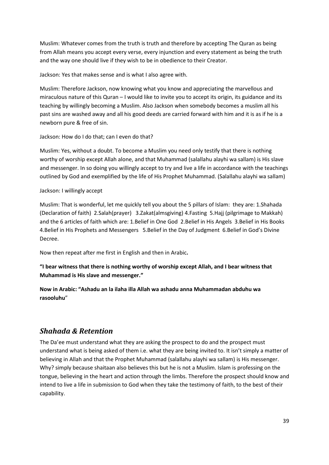Muslim: Whatever comes from the truth is truth and therefore by accepting The Quran as being from Allah means you accept every verse, every injunction and every statement as being the truth and the way one should live if they wish to be in obedience to their Creator.

Jackson: Yes that makes sense and is what I also agree with.

Muslim: Therefore Jackson, now knowing what you know and appreciating the marvellous and miraculous nature of this Quran – I would like to invite you to accept its origin, its guidance and its teaching by willingly becoming a Muslim. Also Jackson when somebody becomes a muslim all his past sins are washed away and all his good deeds are carried forward with him and it is as if he is a newborn pure & free of sin.

#### Jackson: How do I do that; can I even do that?

Muslim: Yes, without a doubt. To become a Muslim you need only testify that there is nothing worthy of worship except Allah alone, and that Muhammad (salallahu alayhi wa sallam) is His slave and messenger. In so doing you willingly accept to try and live a life in accordance with the teachings outlined by God and exemplified by the life of His Prophet Muhammad. (Salallahu alayhi wa sallam)

#### Jackson: I willingly accept

Muslim: That is wonderful, let me quickly tell you about the 5 pillars of Islam: they are: 1.Shahada (Declaration of faith) 2.Salah(prayer) 3.Zakat(almsgiving) 4.Fasting 5.Hajj (pilgrimage to Makkah) and the 6 articles of faith which are: 1.Belief in One God 2.Belief in His Angels 3.Belief in His Books 4.Belief in His Prophets and Messengers 5.Belief in the Day of Judgment 6.Belief in God's Divine Decree.

Now then repeat after me first in English and then in Arabic**.**

#### **"I bear witness that there is nothing worthy of worship except Allah, and I bear witness that Muhammad is His slave and messenger."**

**Now in Arabic: "Ashadu an la ilaha illa Allah wa ashadu anna Muhammadan abduhu wa rasooluhu**"

# <span id="page-38-0"></span>*Shahada & Retention*

The Da'ee must understand what they are asking the prospect to do and the prospect must understand what is being asked of them i.e. what they are being invited to. It isn't simply a matter of believing in Allah and that the Prophet Muhammad (salallahu alayhi wa sallam) is His messenger. Why? simply because shaitaan also believes this but he is not a Muslim. Islam is professing on the tongue, believing in the heart and action through the limbs. Therefore the prospect should know and intend to live a life in submission to God when they take the testimony of faith, to the best of their capability.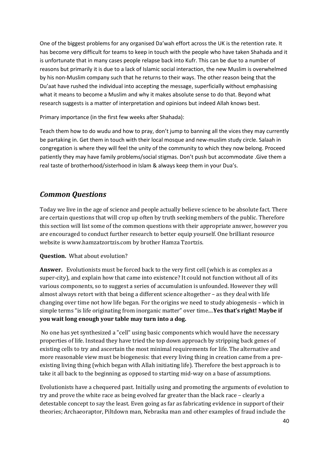One of the biggest problems for any organised Da'wah effort across the UK is the retention rate. It has become very difficult for teams to keep in touch with the people who have taken Shahada and it is unfortunate that in many cases people relapse back into Kufr. This can be due to a number of reasons but primarily it is due to a lack of Islamic social interaction, the new Muslim is overwhelmed by his non-Muslim company such that he returns to their ways. The other reason being that the Du'aat have rushed the individual into accepting the message, superficially without emphasising what it means to become a Muslim and why it makes absolute sense to do that. Beyond what research suggests is a matter of interpretation and opinions but indeed Allah knows best.

Primary importance (in the first few weeks after Shahada):

Teach them how to do wudu and how to pray, don't jump to banning all the vices they may currently be partaking in. Get them in touch with their local mosque and new-muslim study circle. Salaah in congregation is where they will feel the unity of the community to which they now belong. Proceed patiently they may have family problems/social stigmas. Don't push but accommodate .Give them a real taste of brotherhood/sisterhood in Islam & always keep them in your Dua's.

# *Common Questions*

Today we live in the age of science and people actually believe science to be absolute fact. There are certain questions that will crop up often by truth seeking members of the public. Therefore this section will list some of the common questions with their appropriate answer, however you are encouraged to conduct further research to better equip yourself. One brilliant resource website is www.hamzatzortzis.com by brother Hamza Tzortzis.

#### **Question.** What about evolution?

**Answer.** Evolutionists must be forced back to the very first cell (which is as complex as a super-city), and explain how that came into existence? It could not function without all of its various components, so to suggest a series of accumulation is unfounded. However they will almost always retort with that being a different science altogether – as they deal with life changing over time not how life began. For the origins we need to study abiogenesis – which in simple terms "is life originating from inorganic matter" over time....**Yes that's right! Maybe if you wait long enough your table may turn into a dog.**

No one has yet synthesized a "cell" using basic components which would have the necessary properties of life. Instead they have tried the top down approach by stripping back genes of existing cells to try and ascertain the most minimal requirements for life. The alternative and more reasonable view must be biogenesis: that every living thing in creation came from a preexisting living thing (which began with Allah initiating life). Therefore the best approach is to take it all back to the beginning as opposed to starting mid-way on a base of assumptions.

Evolutionists have a chequered past. Initially using and promoting the arguments of evolution to try and prove the white race as being evolved far greater than the black race – clearly a detestable concept to say the least. Even going as far as fabricating evidence in support of their theories; Archaeoraptor, Piltdown man, Nebraska man and other examples of fraud include the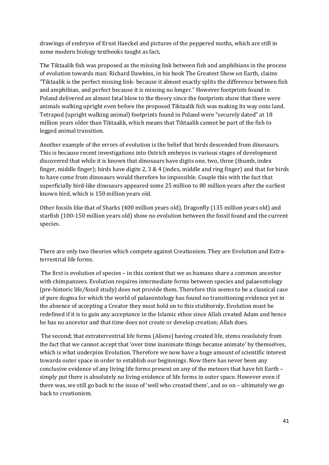drawings of embryos of Ernst Haeckel and pictures of the peppered moths, which are still in some modern biology textbooks taught as fact**.** 

The Tiktaalik fish was proposed as the missing link between fish and amphibians in the process of evolution towards man: Richard Dawkins, in his book The Greatest Show on Earth, claims "Tiktaalik is the perfect missing link- because it almost exactly splits the difference between fish and amphibian, and perfect because it is missing no longer." However footprints found in Poland delivered an almost fatal blow to the theory since the footprints show that there were animals walking upright even before the proposed Tiktaalik fish was making its way onto land. Tetrapod (upright walking animal) footprints found in Poland were "securely dated" at 18 million years older than Tiktaalik, which means that Tiktaalik cannot be part of the fish to legged animal transition.

Another example of the errors of evolution is the belief that birds descended from dinosaurs. This is because recent investigations into Ostrich embryos in various stages of development discovered that while it is known that dinosaurs have digits one, two, three (thumb, index finger, middle finger); birds have digits 2, 3 & 4 (index, middle and ring finger) and that for birds to have come from dinosaurs would therefore be impossible. Couple this with the fact that superficially bird-like dinosaurs appeared some 25 million to 80 million years after the earliest known bird, which is 150 million years old.

Other fossils like that of Sharks (400 million years old), Dragonfly (135 million years old) and starfish (100-150 million years old) show no evolution between the fossil found and the current species.

There are only two theories which compete against Creationism. They are Evolution and Extraterrestrial life forms.

The first is evolution of species – in this context that we as humans share a common ancestor with chimpanzees. Evolution requires intermediate forms between species and palaeontology (pre-historic life/fossil study) does not provide them. Therefore this seems to be a classical case of pure dogma for which the world of palaeontology has found no transitioning evidence yet in the absence of accepting a Creator they must hold on to this stubbornly. Evolution must be redefined if it is to gain any acceptance in the Islamic ethos since Allah created Adam and hence he has no ancestor and that time does not create or develop creation; Allah does.

The second; that extraterrestrial life forms (Aliens) having created life, stems resolutely from the fact that we cannot accept that 'over time inanimate things became animate' by themselves, which is what underpins Evolution. Therefore we now have a huge amount of scientific interest towards outer space in order to establish our beginnings. Now there has never been any conclusive evidence of any living life forms present on any of the meteors that have hit Earth – simply put there is absolutely no living evidence of life forms in outer space. However even if there was, we still go back to the issue of 'well who created them', and so on – ultimately we go back to creationism.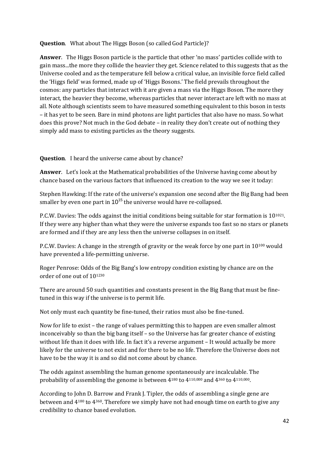**Question**. What about The Higgs Boson (so called God Particle)?

**Answer**. The Higgs Boson particle is the particle that other 'no mass' particles collide with to gain mass...the more they collide the heavier they get. Science related to this suggests that as the Universe cooled and as the temperature fell below a critical value, an invisible force field called the 'Higgs field' was formed, made up of 'Higgs Bosons.' The field prevails throughout the cosmos: any particles that interact with it are given a mass via the Higgs Boson. The more they interact, the heavier they become, whereas particles that never interact are left with no mass at all. Note although scientists seem to have measured something equivalent to this boson in tests – it has yet to be seen. Bare in mind photons are light particles that also have no mass. So what does this prove? Not much in the God debate – in reality they don't create out of nothing they simply add mass to existing particles as the theory suggests.

**Question**. I heard the universe came about by chance?

**Answer**. Let's look at the Mathematical probabilities of the Universe having come about by chance based on the various factors that influenced its creation to the way we see it today:

Stephen Hawking: If the rate of the universe's expansion one second after the Big Bang had been smaller by even one part in  $10^{15}$  the universe would have re-collapsed.

P.C.W. Davies: The odds against the initial conditions being suitable for star formation is 10<sup>1021</sup>. If they were any higher than what they were the universe expands too fast so no stars or planets are formed and if they are any less then the universe collapses in on itself.

P.C.W. Davies: A change in the strength of gravity or the weak force by one part in 10100 would have prevented a life-permitting universe.

Roger Penrose: Odds of the Big Bang's low entropy condition existing by chance are on the order of one out of 101230

There are around 50 such quantities and constants present in the Big Bang that must be finetuned in this way if the universe is to permit life.

Not only must each quantity be fine-tuned, their ratios must also be fine-tuned.

Now for life to exist – the range of values permitting this to happen are even smaller almost inconceivably so than the big bang itself – so the Universe has far greater chance of existing without life than it does with life. In fact it's a reverse argument – It would actually be more likely for the universe to not exist and for there to be no life. Therefore the Universe does not have to be the way it is and so did not come about by chance.

The odds against assembling the human genome spontaneously are incalculable. The probability of assembling the genome is between 4180 to 4110,000 and 4360 to 4110,000.

According to John D. Barrow and Frank J. Tipler, the odds of assembling a single gene are between and 4180 to 4360. Therefore we simply have not had enough time on earth to give any credibility to chance based evolution.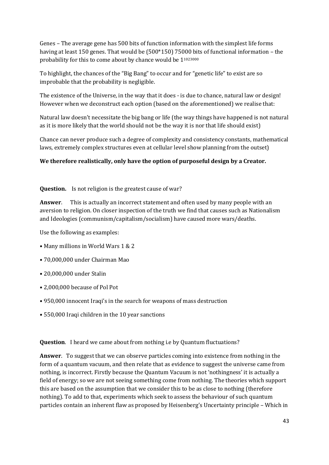Genes – The average gene has 500 bits of function information with the simplest life forms having at least 150 genes. That would be (500\*150) 75000 bits of functional information – the probability for this to come about by chance would be 11023000

To highlight, the chances of the "Big Bang" to occur and for "genetic life" to exist are so improbable that the probability is negligible.

The existence of the Universe, in the way that it does - is due to chance, natural law or design! However when we deconstruct each option (based on the aforementioned) we realise that:

Natural law doesn't necessitate the big bang or life (the way things have happened is not natural as it is more likely that the world should not be the way it is nor that life should exist)

Chance can never produce such a degree of complexity and consistency constants, mathematical laws, extremely complex structures even at cellular level show planning from the outset)

#### **We therefore realistically, only have the option of purposeful design by a Creator.**

#### **Question.** Is not religion is the greatest cause of war?

**Answer**. This is actually an incorrect statement and often used by many people with an aversion to religion. On closer inspection of the truth we find that causes such as Nationalism and Ideologies (communism/capitalism/socialism) have caused more wars/deaths.

Use the following as examples:

- Many millions in World Wars 1 & 2
- 70,000,000 under Chairman Mao
- 20,000,000 under Stalin
- 2,000,000 because of Pol Pot
- 950,000 innocent Iraqi's in the search for weapons of mass destruction
- 550,000 Iraqi children in the 10 year sanctions

**Question.** I heard we came about from nothing i.e by Quantum fluctuations?

**Answer**. To suggest that we can observe particles coming into existence from nothing in the form of a quantum vacuum, and then relate that as evidence to suggest the universe came from nothing, is incorrect. Firstly because the Quantum Vacuum is not 'nothingness' it is actually a field of energy; so we are not seeing something come from nothing. The theories which support this are based on the assumption that we consider this to be as close to nothing (therefore nothing). To add to that, experiments which seek to assess the behaviour of such quantum particles contain an inherent flaw as proposed by Heisenberg's Uncertainty principle – Which in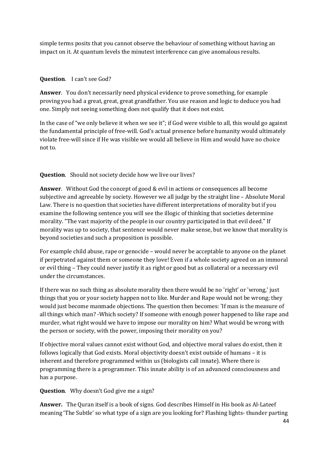simple terms posits that you cannot observe the behaviour of something without having an impact on it. At quantum levels the minutest interference can give anomalous results.

#### **Question**. I can't see God?

**Answer**. You don't necessarily need physical evidence to prove something, for example proving you had a great, great, great grandfather. You use reason and logic to deduce you had one. Simply not seeing something does not qualify that it does not exist.

In the case of "we only believe it when we see it"; if God were visible to all, this would go against the fundamental principle of free-will. God's actual presence before humanity would ultimately violate free-will since if He was visible we would all believe in Him and would have no choice not to.

#### **Question.** Should not society decide how we live our lives?

**Answer**. Without God the concept of good & evil in actions or consequences all become subjective and agreeable by society. However we all judge by the straight line – Absolute Moral Law. There is no question that societies have different interpretations of morality but if you examine the following sentence you will see the illogic of thinking that societies determine morality. "The vast majority of the people in our country participated in that evil deed." If morality was up to society, that sentence would never make sense, but we know that morality is beyond societies and such a proposition is possible.

For example child abuse, rape or genocide – would never be acceptable to anyone on the planet if perpetrated against them or someone they love! Even if a whole society agreed on an immoral or evil thing – They could never justify it as right or good but as collateral or a necessary evil under the circumstances.

If there was no such thing as absolute morality then there would be no 'right' or 'wrong,' just things that you or your society happen not to like. Murder and Rape would not be wrong; they would just become manmade objections. The question then becomes: 'If man is the measure of all things which man? -Which society? If someone with enough power happened to like rape and murder, what right would we have to impose our morality on him? What would be wrong with the person or society, with the power, imposing their morality on you?

If objective moral values cannot exist without God, and objective moral values do exist, then it follows logically that God exists. Moral objectivity doesn't exist outside of humans – it is inherent and therefore programmed within us (biologists call innate). Where there is programming there is a programmer. This innate ability is of an advanced consciousness and has a purpose.

**Question**. Why doesn't God give me a sign?

**Answer.** The Quran itself is a book of signs. God describes Himself in His book as Al-Lateef meaning 'The Subtle' so what type of a sign are you looking for? Flashing lights- thunder parting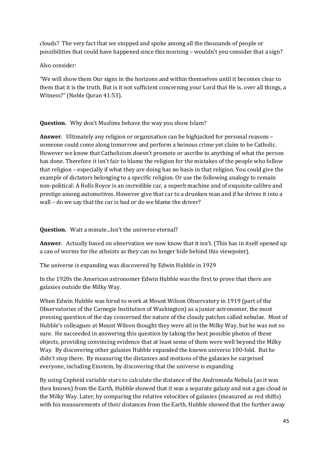clouds? The very fact that we stopped and spoke among all the thousands of people or possibilities that could have happened since this morning – wouldn't you consider that a sign?

Also consider:

"We will show them Our signs in the horizons and within themselves until it becomes clear to them that it is the truth. But is it not sufficient concerning your Lord that He is, over all things, a Witness?" (Noble Quran 41:53).

**Question.** Why don't Muslims behave the way you show Islam?

**Answer**. Ultimately any religion or organisation can be highjacked for personal reasons – someone could come along tomorrow and perform a heinous crime yet claim to be Catholic. However we know that Catholicism doesn't promote or ascribe to anything of what the person has done. Therefore it isn't fair to blame the religion for the mistakes of the people who follow that religion – especially if what they are doing has no basis in that religion. You could give the example of dictators belonging to a specific religion. Or use the following analogy to remain non-political: A Rolls Royce is an incredible car, a superb machine and of exquisite calibre and prestige among automotives. However give that car to a drunken man and if he drives it into a wall – do we say that the car is bad or do we blame the driver?

**Question.** Wait a minute...Isn't the universe eternal?

**Answer**. Actually based on observation we now know that it isn't. (This has in itself opened up a can of worms for the atheists as they can no longer hide behind this viewpoint).

The universe is expanding was discovered by Edwin Hubble in 1929

In the 1920s the American astronomer Edwin Hubble was the first to prove that there are galaxies outside the Milky Way.

When Edwin Hubble was hired to work at Mount Wilson Observatory in 1919 (part of the Observatories of the Carnegie Institution of Washington) as a junior astronomer, the most pressing question of the day concerned the nature of the cloudy patches called nebulae. Most of Hubble's colleagues at Mount Wilson thought they were all in the Milky Way, but he was not so sure. He succeeded in answering this question by taking the best possible photos of these objects, providing convincing evidence that at least some of them were well beyond the Milky Way. By discovering other galaxies Hubble expanded the known universe 100-fold. But he didn't stop there. By measuring the distances and motions of the galaxies he surprised everyone, including Einstein, by discovering that the universe is expanding

By using Cepheid variable stars to calculate the distance of the Andromeda Nebula (as it was then known) from the Earth, Hubble showed that it was a separate galaxy and not a gas cloud in the Milky Way. Later, by comparing the relative velocities of galaxies (measured as red shifts) with his measurements of their distances from the Earth, Hubble showed that the further away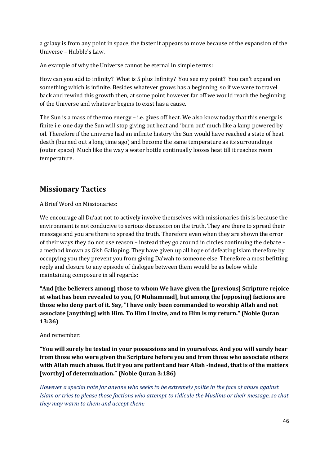a galaxy is from any point in space, the faster it appears to move because of the expansion of the Universe – Hubble's Law.

An example of why the Universe cannot be eternal in simple terms:

How can you add to infinity? What is 5 plus Infinity? You see my point? You can't expand on something which is infinite. Besides whatever grows has a beginning, so if we were to travel back and rewind this growth then, at some point however far off we would reach the beginning of the Universe and whatever begins to exist has a cause.

The Sun is a mass of thermo energy – i.e. gives off heat. We also know today that this energy is finite i.e. one day the Sun will stop giving out heat and 'burn out' much like a lamp powered by oil. Therefore if the universe had an infinite history the Sun would have reached a state of heat death (burned out a long time ago) and become the same temperature as its surroundings (outer space). Much like the way a water bottle continually looses heat till it reaches room temperature.

# **Missionary Tactics**

A Brief Word on Missionaries:

We encourage all Du'aat not to actively involve themselves with missionaries this is because the environment is not conducive to serious discussion on the truth. They are there to spread their message and you are there to spread the truth. Therefore even when they are shown the error of their ways they do not use reason – instead they go around in circles continuing the debate – a method known as Gish Galloping. They have given up all hope of defeating Islam therefore by occupying you they prevent you from giving Da'wah to someone else. Therefore a most befitting reply and closure to any episode of dialogue between them would be as below while maintaining composure in all regards:

**"And [the believers among] those to whom We have given the [previous] Scripture rejoice at what has been revealed to you, [O Muhammad], but among the [opposing] factions are those who deny part of it. Say, "I have only been commanded to worship Allah and not associate [anything] with Him. To Him I invite, and to Him is my return." (Noble Quran 13:36)** 

And remember:

**"You will surely be tested in your possessions and in yourselves. And you will surely hear from those who were given the Scripture before you and from those who associate others with Allah much abuse. But if you are patient and fear Allah -indeed, that is of the matters [worthy] of determination." (Noble Quran 3:186)** 

*However a special note for anyone who seeks to be extremely polite in the face of abuse against Islam or tries to please those factions who attempt to ridicule the Muslims or their message, so that they may warm to them and accept them:*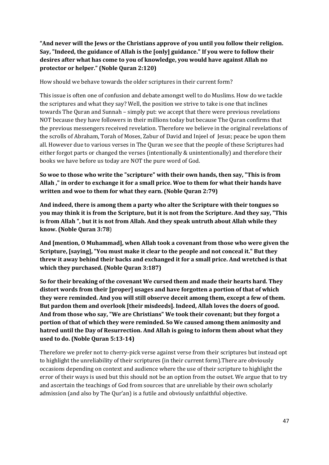**"And never will the Jews or the Christians approve of you until you follow their religion. Say, "Indeed, the guidance of Allah is the [only] guidance." If you were to follow their desires after what has come to you of knowledge, you would have against Allah no protector or helper." (Noble Quran 2:120)** 

How should we behave towards the older scriptures in their current form?

This issue is often one of confusion and debate amongst well to do Muslims. How do we tackle the scriptures and what they say? Well, the position we strive to take is one that inclines towards The Quran and Sunnah – simply put: we accept that there were previous revelations NOT because they have followers in their millions today but because The Quran confirms that the previous messengers received revelation. Therefore we believe in the original revelations of the scrolls of Abraham, Torah of Moses, Zabur of David and Injeel of Jesus; peace be upon them all. However due to various verses in The Quran we see that the people of these Scriptures had either forgot parts or changed the verses (intentionally & unintentionally) and therefore their books we have before us today are NOT the pure word of God.

**So woe to those who write the "scripture" with their own hands, then say, "This is from Allah ," in order to exchange it for a small price. Woe to them for what their hands have written and woe to them for what they earn. (Noble Quran 2:79)** 

**And indeed, there is among them a party who alter the Scripture with their tongues so you may think it is from the Scripture, but it is not from the Scripture. And they say, "This is from Allah ", but it is not from Allah. And they speak untruth about Allah while they know. (Noble Quran 3:78**)

**And [mention, O Muhammad], when Allah took a covenant from those who were given the Scripture, [saying], "You must make it clear to the people and not conceal it." But they threw it away behind their backs and exchanged it for a small price. And wretched is that which they purchased. (Noble Quran 3:187)**

**So for their breaking of the covenant We cursed them and made their hearts hard. They distort words from their [proper] usages and have forgotten a portion of that of which they were reminded. And you will still observe deceit among them, except a few of them. But pardon them and overlook [their misdeeds]. Indeed, Allah loves the doers of good. And from those who say, "We are Christians" We took their covenant; but they forgot a portion of that of which they were reminded. So We caused among them animosity and hatred until the Day of Resurrection. And Allah is going to inform them about what they used to do. (Noble Quran 5:13-14)** 

Therefore we prefer not to cherry-pick verse against verse from their scriptures but instead opt to highlight the unreliability of their scriptures (in their current form).There are obviously occasions depending on context and audience where the use of their scripture to highlight the error of their ways is used but this should not be an option from the outset. We argue that to try and ascertain the teachings of God from sources that are unreliable by their own scholarly admission (and also by The Qur'an) is a futile and obviously unfaithful objective.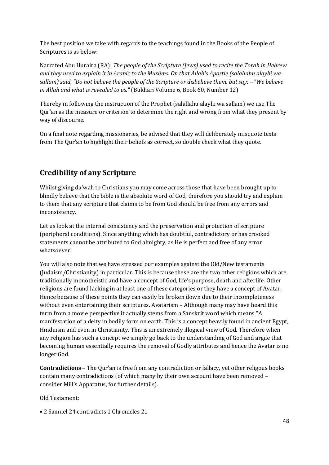The best position we take with regards to the teachings found in the Books of the People of Scriptures is as below:

Narrated Abu Huraira (RA): *The people of the Scripture (Jews) used to recite the Torah in Hebrew and they used to explain it in Arabic to the Muslims. On that Allah's Apostle (salallahu alayhi wa sallam) said, "Do not believe the people of the Scripture or disbelieve them, but say: --"We believe in Allah and what is revealed to us."* (Bukhari Volume 6, Book 60, Number 12)

Thereby in following the instruction of the Prophet (salallahu alayhi wa sallam) we use The Qur'an as the measure or criterion to determine the right and wrong from what they present by way of discourse.

On a final note regarding missionaries, be advised that they will deliberately misquote texts from The Qur'an to highlight their beliefs as correct, so double check what they quote.

# **Credibility of any Scripture**

Whilst giving da'wah to Christians you may come across those that have been brought up to blindly believe that the bible is the absolute word of God, therefore you should try and explain to them that any scripture that claims to be from God should be free from any errors and inconsistency.

Let us look at the internal consistency and the preservation and protection of scripture (peripheral conditions). Since anything which has doubtful, contradictory or has crooked statements cannot be attributed to God almighty, as He is perfect and free of any error whatsoever.

You will also note that we have stressed our examples against the Old/New testaments (Judaism/Christianity) in particular. This is because these are the two other religions which are traditionally monotheistic and have a concept of God, life's purpose, death and afterlife. Other religions are found lacking in at least one of these categories or they have a concept of Avatar. Hence because of these points they can easily be broken down due to their incompleteness without even entertaining their scriptures. Avatarism – Although many may have heard this term from a movie perspective it actually stems from a Sanskrit word which means "A manifestation of a deity in bodily form on earth. This is a concept heavily found in ancient Egypt, Hinduism and even in Christianity. This is an extremely illogical view of God. Therefore when any religion has such a concept we simply go back to the understanding of God and argue that becoming human essentially requires the removal of Godly attributes and hence the Avatar is no longer God.

**Contradictions** – The Qur'an is free from any contradiction or fallacy, yet other religous books contain many contradictions (of which many by their own account have been removed – consider Mill's Apparatus, for further details).

Old Testament:

• 2 Samuel 24 contradicts 1 Chronicles 21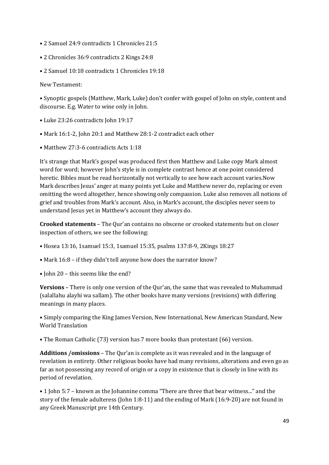- 2 Samuel 24:9 contradicts 1 Chronicles 21:5
- 2 Chronicles 36:9 contradicts 2 Kings 24:8
- 2 Samuel 10:18 contradicts 1 Chronicles 19:18

New Testament:

• Synoptic gospels (Matthew, Mark, Luke) don't confer with gospel of John on style, content and discourse. E.g. Water to wine only in John.

- Luke 23:26 contradicts John 19:17
- Mark 16:1-2, John 20:1 and Matthew 28:1-2 contradict each other
- Matthew 27:3-6 contradicts Acts 1:18

It's strange that Mark's gospel was produced first then Matthew and Luke copy Mark almost word for word; however John's style is in complete contrast hence at one point considered heretic. Bibles must be read horizontally not vertically to see how each account varies.Now Mark describes Jesus' anger at many points yet Luke and Matthew never do, replacing or even omitting the word altogether, hence showing only compassion. Luke also removes all notions of grief and troubles from Mark's account. Also, in Mark's account, the disciples never seem to understand Jesus yet in Matthew's account they always do.

**Crooked statements** – The Qur'an contains no obscene or crooked statements but on closer inspection of others, we see the following:

- Hosea 13:16, 1samuel 15:3, 1samuel 15:35, psalms 137:8-9, 2Kings 18:27
- Mark 16:8 if they didn't tell anyone how does the narrator know?
- John 20 this seems like the end?

**Versions** – There is only one version of the Qur'an, the same that was revealed to Muhammad (salallahu alayhi wa sallam). The other books have many versions (revisions) with differing meanings in many places.

• Simply comparing the King James Version, New International, New American Standard, New World Translation

• The Roman Catholic (73) version has 7 more books than protestant (66) version.

**Additions /omissions** – The Qur'an is complete as it was revealed and in the language of revelation in entirety. Other religious books have had many revisions, alterations and even go as far as not possessing any record of origin or a copy in existence that is closely in line with its period of revelation.

• 1 John 5:7 – known as the Johannine comma "There are three that bear witness..." and the story of the female adulteress (John 1:8-11) and the ending of Mark (16:9-20) are not found in any Greek Manuscript pre 14th Century.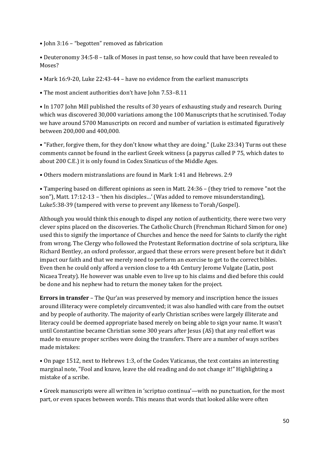- John 3:16 "begotten" removed as fabrication
- Deuteronomy 34:5-8 talk of Moses in past tense, so how could that have been revealed to Moses?
- Mark 16:9-20, Luke 22:43-44 have no evidence from the earliest manuscripts
- The most ancient authorities don't have John 7.53–8.11

• In 1707 John Mill published the results of 30 years of exhausting study and research. During which was discovered 30,000 variations among the 100 Manuscripts that he scrutinised. Today we have around 5700 Manuscripts on record and number of variation is estimated figuratively between 200,000 and 400,000.

• "Father, forgive them, for they don't know what they are doing." (Luke 23:34) Turns out these comments cannot be found in the earliest Greek witness (a papyrus called P 75, which dates to about 200 C.E.) it is only found in Codex Sinaticus of the Middle Ages.

• Others modern mistranslations are found in Mark 1:41 and Hebrews. 2:9

• Tampering based on different opinions as seen in Matt. 24:36 – (they tried to remove "not the son"), Matt. 17:12-13 – 'then his disciples…' (Was added to remove misunderstanding), Luke5:38-39 (tampered with verse to prevent any likeness to Torah/Gospel).

Although you would think this enough to dispel any notion of authenticity, there were two very clever spins placed on the discoveries. The Catholic Church (Frenchman Richard Simon for one) used this to signify the importance of Churches and hence the need for Saints to clarify the right from wrong. The Clergy who followed the Protestant Reformation doctrine of sola scriptura, like Richard Bentley, an oxford professor, argued that these errors were present before but it didn't impact our faith and that we merely need to perform an exercise to get to the correct bibles. Even then he could only afford a version close to a 4th Century Jerome Vulgate (Latin, post Nicaea Treaty). He however was unable even to live up to his claims and died before this could be done and his nephew had to return the money taken for the project.

**Errors in transfer** – The Qur'an was preserved by memory and inscription hence the issues around illiteracy were completely circumvented; it was also handled with care from the outset and by people of authority. The majority of early Christian scribes were largely illiterate and literacy could be deemed appropriate based merely on being able to sign your name. It wasn't until Constantine became Christian some 300 years after Jesus (AS) that any real effort was made to ensure proper scribes were doing the transfers. There are a number of ways scribes made mistakes:

• On page 1512, next to Hebrews 1:3, of the Codex Vaticanus, the text contains an interesting marginal note, "Fool and knave, leave the old reading and do not change it!" Highlighting a mistake of a scribe.

• Greek manuscripts were all written in 'scriptuo continua'—with no punctuation, for the most part, or even spaces between words. This means that words that looked alike were often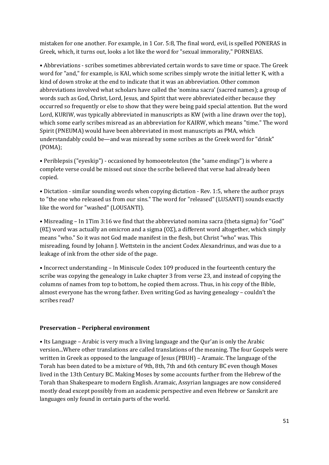mistaken for one another. For example, in 1 Cor. 5:8, The final word, evil, is spelled PONERAS in Greek, which, it turns out, looks a lot like the word for "sexual immorality," PORNEIAS.

• Abbreviations - scribes sometimes abbreviated certain words to save time or space. The Greek word for "and," for example, is KAI, which some scribes simply wrote the initial letter K, with a kind of down stroke at the end to indicate that it was an abbreviation. Other common abbreviations involved what scholars have called the 'nomina sacra' (sacred names); a group of words such as God, Christ, Lord, Jesus, and Spirit that were abbreviated either because they occurred so frequently or else to show that they were being paid special attention. But the word Lord, KURIW, was typically abbreviated in manuscripts as KW (with a line drawn over the top), which some early scribes misread as an abbreviation for KAIRW, which means "time." The word Spirit (PNEUMA) would have been abbreviated in most manuscripts as PMA, which understandably could be—and was misread by some scribes as the Greek word for "drink" (POMA);

• Periblepsis ("eyeskip") - occasioned by homoeoteleuton (the "same endings") is where a complete verse could be missed out since the scribe believed that verse had already been copied.

• Dictation - similar sounding words when copying dictation - Rev. 1:5, where the author prays to "the one who released us from our sins." The word for "released" (LUSANTI) sounds exactly like the word for "washed" (LOUSANTI).

• Misreading – In 1Tim 3:16 we find that the abbreviated nomina sacra (theta sigma) for "God" (θΣ) word was actually an omicron and a sigma (ΟΣ), a different word altogether, which simply means "who." So it was not God made manifest in the flesh, but Christ "who" was. This misreading, found by Johann J. Wettstein in the ancient Codex Alexandrinus, and was due to a leakage of ink from the other side of the page.

• Incorrect understanding – In Miniscule Codex 109 produced in the fourteenth century the scribe was copying the genealogy in Luke chapter 3 from verse 23, and instead of copying the columns of names from top to bottom, he copied them across. Thus, in his copy of the Bible, almost everyone has the wrong father. Even writing God as having genealogy – couldn't the scribes read?

#### **Preservation – Peripheral environment**

• Its Language – Arabic is very much a living language and the Qur'an is only the Arabic version...Where other translations are called translations of the meaning. The four Gospels were written in Greek as opposed to the language of Jesus (PBUH) – Aramaic. The language of the Torah has been dated to be a mixture of 9th, 8th, 7th and 6th century BC even though Moses lived in the 13th Century BC. Making Moses by some accounts further from the Hebrew of the Torah than Shakespeare to modern English. Aramaic, Assyrian languages are now considered mostly dead except possibly from an academic perspective and even Hebrew or Sanskrit are languages only found in certain parts of the world.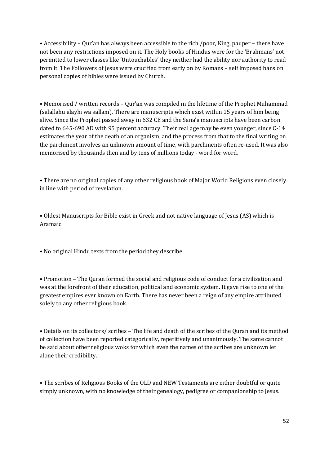• Accessibility – Qur'an has always been accessible to the rich /poor, King, pauper – there have not been any restrictions imposed on it. The Holy books of Hindus were for the 'Brahmans' not permitted to lower classes like 'Untouchables' they neither had the ability nor authority to read from it. The Followers of Jesus were crucified from early on by Romans – self imposed bans on personal copies of bibles were issued by Church.

• Memorised / written records – Qur'an was compiled in the lifetime of the Prophet Muhammad (salallahu alayhi wa sallam). There are manuscripts which exist within 15 years of him being alive. Since the Prophet passed away in 632 CE and the Sana'a manuscripts have been carbon dated to 645-690 AD with 95 percent accuracy. Their real age may be even younger, since C-14 estimates the year of the death of an organism, and the process from that to the final writing on the parchment involves an unknown amount of time, with parchments often re-used. It was also memorised by thousands then and by tens of millions today - word for word.

• There are no original copies of any other religious book of Major World Religions even closely in line with period of revelation.

• Oldest Manuscripts for Bible exist in Greek and not native language of Jesus (AS) which is Aramaic.

• No original Hindu texts from the period they describe.

• Promotion – The Quran formed the social and religious code of conduct for a civilisation and was at the forefront of their education, political and economic system. It gave rise to one of the greatest empires ever known on Earth. There has never been a reign of any empire attributed solely to any other religious book.

• Details on its collectors/ scribes – The life and death of the scribes of the Quran and its method of collection have been reported categorically, repetitively and unanimously. The same cannot be said about other religious woks for which even the names of the scribes are unknown let alone their credibility.

• The scribes of Religious Books of the OLD and NEW Testaments are either doubtful or quite simply unknown, with no knowledge of their genealogy, pedigree or companionship to Jesus.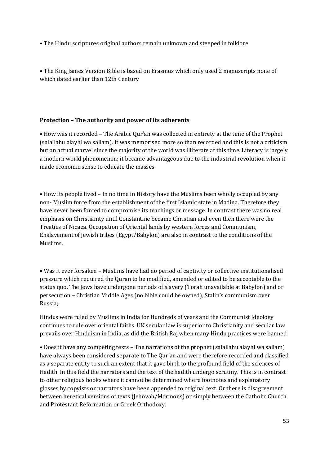• The Hindu scriptures original authors remain unknown and steeped in folklore

• The King James Version Bible is based on Erasmus which only used 2 manuscripts none of which dated earlier than 12th Century

#### **Protection – The authority and power of its adherents**

• How was it recorded – The Arabic Qur'an was collected in entirety at the time of the Prophet (salallahu alayhi wa sallam). It was memorised more so than recorded and this is not a criticism but an actual marvel since the majority of the world was illiterate at this time. Literacy is largely a modern world phenomenon; it became advantageous due to the industrial revolution when it made economic sense to educate the masses.

• How its people lived – In no time in History have the Muslims been wholly occupied by any non- Muslim force from the establishment of the first Islamic state in Madina. Therefore they have never been forced to compromise its teachings or message. In contrast there was no real emphasis on Christianity until Constantine became Christian and even then there were the Treaties of Nicaea. Occupation of Oriental lands by western forces and Communism, Enslavement of Jewish tribes (Egypt/Babylon) are also in contrast to the conditions of the Muslims.

• Was it ever forsaken – Muslims have had no period of captivity or collective institutionalised pressure which required the Quran to be modified, amended or edited to be acceptable to the status quo. The Jews have undergone periods of slavery (Torah unavailable at Babylon) and or persecution – Christian Middle Ages (no bible could be owned), Stalin's communism over Russia;

Hindus were ruled by Muslims in India for Hundreds of years and the Communist Ideology continues to rule over oriental faiths. UK secular law is superior to Christianity and secular law prevails over Hinduism in India, as did the British Raj when many Hindu practices were banned.

• Does it have any competing texts – The narrations of the prophet (salallahu alayhi wa sallam) have always been considered separate to The Qur'an and were therefore recorded and classified as a separate entity to such an extent that it gave birth to the profound field of the sciences of Hadith. In this field the narrators and the text of the hadith undergo scrutiny. This is in contrast to other religious books where it cannot be determined where footnotes and explanatory glosses by copyists or narrators have been appended to original text. Or there is disagreement between heretical versions of texts (Jehovah/Mormons) or simply between the Catholic Church and Protestant Reformation or Greek Orthodoxy.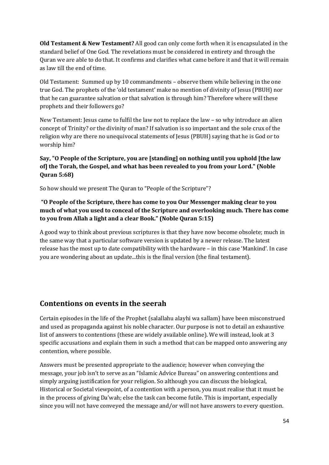**Old Testament & New Testament?** All good can only come forth when it is encapsulated in the standard belief of One God. The revelations must be considered in entirety and through the Quran we are able to do that. It confirms and clarifies what came before it and that it will remain as law till the end of time.

Old Testament: Summed up by 10 commandments – observe them while believing in the one true God. The prophets of the 'old testament' make no mention of divinity of Jesus (PBUH) nor that he can guarantee salvation or that salvation is through him? Therefore where will these prophets and their followers go?

New Testament: Jesus came to fulfil the law not to replace the law – so why introduce an alien concept of Trinity? or the divinity of man? If salvation is so important and the sole crux of the religion why are there no unequivocal statements of Jesus (PBUH) saying that he is God or to worship him?

#### **Say, "O People of the Scripture, you are [standing] on nothing until you uphold [the law of] the Torah, the Gospel, and what has been revealed to you from your Lord." (Noble Quran 5:68)**

So how should we present The Quran to "People of the Scripture"?

### **"O People of the Scripture, there has come to you Our Messenger making clear to you much of what you used to conceal of the Scripture and overlooking much. There has come to you from Allah a light and a clear Book." (Noble Quran 5:15)**

A good way to think about previous scriptures is that they have now become obsolete; much in the same way that a particular software version is updated by a newer release. The latest release has the most up to date compatibility with the hardware – in this case 'Mankind'. In case you are wondering about an update...this is the final version (the final testament).

# **Contentions on events in the seerah**

Certain episodes in the life of the Prophet (salallahu alayhi wa sallam) have been misconstrued and used as propaganda against his noble character. Our purpose is not to detail an exhaustive list of answers to contentions (these are widely available online). We will instead, look at 3 specific accusations and explain them in such a method that can be mapped onto answering any contention, where possible.

Answers must be presented appropriate to the audience; however when conveying the message, your job isn't to serve as an "Islamic Advice Bureau" on answering contentions and simply arguing justification for your religion. So although you can discuss the biological, Historical or Societal viewpoint, of a contention with a person, you must realise that it must be in the process of giving Da'wah; else the task can become futile. This is important, especially since you will not have conveyed the message and/or will not have answers to every question.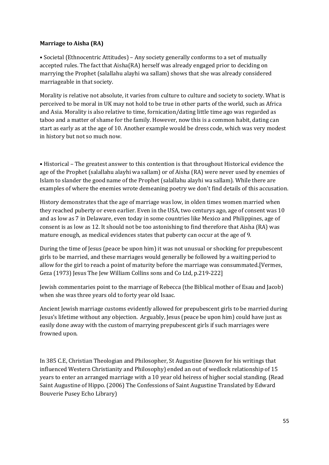#### **Marriage to Aisha (RA)**

• Societal (Ethnocentric Attitudes) – Any society generally conforms to a set of mutually accepted rules. The fact that Aisha(RA) herself was already engaged prior to deciding on marrying the Prophet (salallahu alayhi wa sallam) shows that she was already considered marriageable in that society.

Morality is relative not absolute, it varies from culture to culture and society to society. What is perceived to be moral in UK may not hold to be true in other parts of the world, such as Africa and Asia. Morality is also relative to time, fornication/dating little time ago was regarded as taboo and a matter of shame for the family. However, now this is a common habit, dating can start as early as at the age of 10. Another example would be dress code, which was very modest in history but not so much now.

• Historical – The greatest answer to this contention is that throughout Historical evidence the age of the Prophet (salallahu alayhi wa sallam) or of Aisha (RA) were never used by enemies of Islam to slander the good name of the Prophet (salallahu alayhi wa sallam). While there are examples of where the enemies wrote demeaning poetry we don't find details of this accusation.

History demonstrates that the age of marriage was low, in olden times women married when they reached puberty or even earlier. Even in the USA, two centurys ago, age of consent was 10 and as low as 7 in Delaware, even today in some countries like Mexico and Philippines, age of consent is as low as 12. It should not be too astonishing to find therefore that Aisha (RA) was mature enough, as medical evidences states that puberty can occur at the age of 9.

During the time of Jesus (peace be upon him) it was not unusual or shocking for prepubescent girls to be married, and these marriages would generally be followed by a waiting period to allow for the girl to reach a point of maturity before the marriage was consummated.[Vermes, Geza (1973) Jesus The Jew William Collins sons and Co Ltd, p.219-222]

Jewish commentaries point to the marriage of Rebecca (the Biblical mother of Esau and Jacob) when she was three years old to forty year old Isaac.

Ancient Jewish marriage customs evidently allowed for prepubescent girls to be married during Jesus's lifetime without any objection. Arguably, Jesus (peace be upon him) could have just as easily done away with the custom of marrying prepubescent girls if such marriages were frowned upon.

In 385 C.E, Christian Theologian and Philosopher, St Augustine (known for his writings that influenced Western Christianity and Philosophy) ended an out of wedlock relationship of 15 years to enter an arranged marriage with a 10 year old heiress of higher social standing. (Read Saint Augustine of Hippo. (2006) The Confessions of Saint Augustine Translated by Edward Bouverie Pusey Echo Library)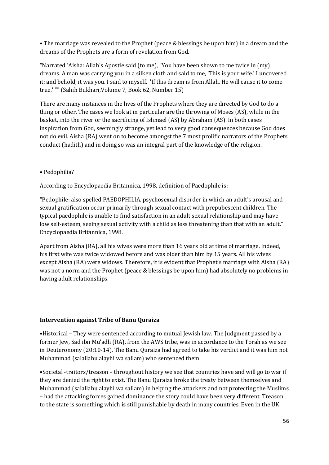• The marriage was revealed to the Prophet (peace & blessings be upon him) in a dream and the dreams of the Prophets are a form of revelation from God.

"Narrated 'Aisha: Allah's Apostle said (to me), "You have been shown to me twice in (my) dreams. A man was carrying you in a silken cloth and said to me, 'This is your wife.' I uncovered it; and behold, it was you. I said to myself, 'If this dream is from Allah, He will cause it to come true.' "" (Sahih Bukhari,Volume 7, Book 62, Number 15)

There are many instances in the lives of the Prophets where they are directed by God to do a thing or other. The cases we look at in particular are the throwing of Moses (AS), while in the basket, into the river or the sacrificing of Ishmael (AS) by Abraham (AS). In both cases inspiration from God, seemingly strange, yet lead to very good consequences because God does not do evil. Aisha (RA) went on to become amongst the 7 most prolific narrators of the Prophets conduct (hadith) and in doing so was an integral part of the knowledge of the religion.

#### • Pedophilia?

According to Encyclopaedia Britannica, 1998, definition of Paedophile is:

"Pedophile: also spelled PAEDOPHILIA, psychosexual disorder in which an adult's arousal and sexual gratification occur primarily through sexual contact with prepubescent children. The typical paedophile is unable to find satisfaction in an adult sexual relationship and may have low self-esteem, seeing sexual activity with a child as less threatening than that with an adult." Encyclopaedia Britannica, 1998.

Apart from Aisha (RA), all his wives were more than 16 years old at time of marriage. Indeed, his first wife was twice widowed before and was older than him by 15 years. All his wives except Aisha (RA) were widows. Therefore, it is evident that Prophet's marriage with Aisha (RA) was not a norm and the Prophet (peace & blessings be upon him) had absolutely no problems in having adult relationships.

#### **Intervention against Tribe of Banu Quraiza**

•Historical – They were sentenced according to mutual Jewish law. The Judgment passed by a former Jew, Sad ibn Mu'adh (RA), from the AWS tribe, was in accordance to the Torah as we see in Deuteronomy (20:10-14). The Banu Quraiza had agreed to take his verdict and it was him not Muhammad (salallahu alayhi wa sallam) who sentenced them.

•Societal -traitors/treason – throughout history we see that countries have and will go to war if they are denied the right to exist. The Banu Quraiza broke the treaty between themselves and Muhammad (salallahu alayhi wa sallam) in helping the attackers and not protecting the Muslims – had the attacking forces gained dominance the story could have been very different. Treason to the state is something which is still punishable by death in many countries. Even in the UK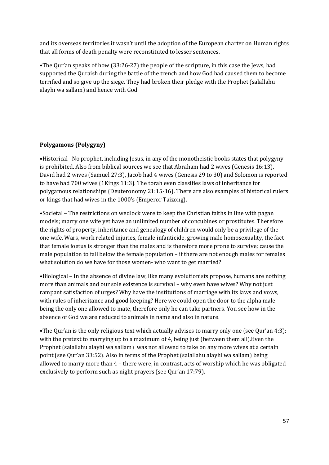and its overseas territories it wasn't until the adoption of the European charter on Human rights that all forms of death penalty were reconstituted to lesser sentences.

•The Qur'an speaks of how (33:26-27) the people of the scripture, in this case the Jews, had supported the Quraish during the battle of the trench and how God had caused them to become terrified and so give up the siege. They had broken their pledge with the Prophet (salallahu alayhi wa sallam) and hence with God.

#### **Polygamous (Polygyny)**

•Historical –No prophet, including Jesus, in any of the monotheistic books states that polygyny is prohibited. Also from biblical sources we see that Abraham had 2 wives (Genesis 16:13), David had 2 wives (Samuel 27:3), Jacob had 4 wives (Genesis 29 to 30) and Solomon is reported to have had 700 wives (1Kings 11:3). The torah even classifies laws of inheritance for polygamous relationships (Deuteronomy 21:15-16). There are also examples of historical rulers or kings that had wives in the 1000's (Emperor Taizong).

•Societal – The restrictions on wedlock were to keep the Christian faiths in line with pagan models; marry one wife yet have an unlimited number of concubines or prostitutes. Therefore the rights of property, inheritance and genealogy of children would only be a privilege of the one wife. Wars, work related injuries, female infanticide, growing male homosexuality, the fact that female foetus is stronger than the males and is therefore more prone to survive; cause the male population to fall below the female population – if there are not enough males for females what solution do we have for those women- who want to get married?

•Biological – In the absence of divine law, like many evolutionists propose, humans are nothing more than animals and our sole existence is survival – why even have wives? Why not just rampant satisfaction of urges? Why have the institutions of marriage with its laws and vows, with rules of inheritance and good keeping? Here we could open the door to the alpha male being the only one allowed to mate, therefore only he can take partners. You see how in the absence of God we are reduced to animals in name and also in nature.

•The Qur'an is the only religious text which actually advises to marry only one (see Qur'an 4:3); with the pretext to marrying up to a maximum of 4, being just (between them all).Even the Prophet (salallahu alayhi wa sallam) was not allowed to take on any more wives at a certain point (see Qur'an 33:52). Also in terms of the Prophet (salallahu alayhi wa sallam) being allowed to marry more than 4 – there were, in contrast, acts of worship which he was obligated exclusively to perform such as night prayers (see Qur'an 17:79).